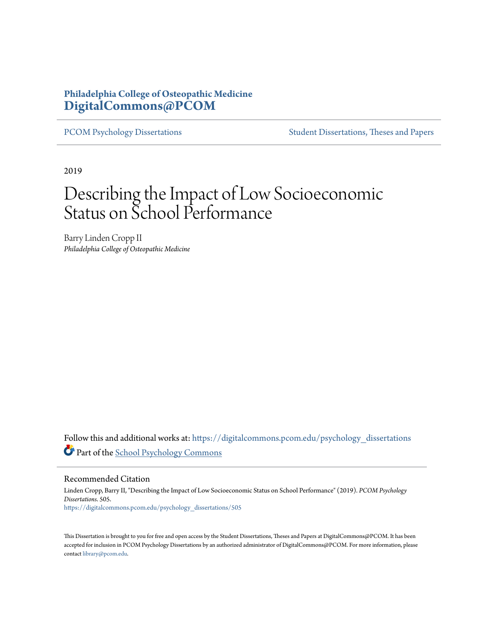## **Philadelphia College of Osteopathic Medicine [DigitalCommons@PCOM](https://digitalcommons.pcom.edu?utm_source=digitalcommons.pcom.edu%2Fpsychology_dissertations%2F505&utm_medium=PDF&utm_campaign=PDFCoverPages)**

[PCOM Psychology Dissertations](https://digitalcommons.pcom.edu/psychology_dissertations?utm_source=digitalcommons.pcom.edu%2Fpsychology_dissertations%2F505&utm_medium=PDF&utm_campaign=PDFCoverPages) [Student Dissertations, Theses and Papers](https://digitalcommons.pcom.edu/etds?utm_source=digitalcommons.pcom.edu%2Fpsychology_dissertations%2F505&utm_medium=PDF&utm_campaign=PDFCoverPages)

2019

# Describing the Impact of Low Socioeconomic Status on School Performance

Barry Linden Cropp II *Philadelphia College of Osteopathic Medicine*

Follow this and additional works at: [https://digitalcommons.pcom.edu/psychology\\_dissertations](https://digitalcommons.pcom.edu/psychology_dissertations?utm_source=digitalcommons.pcom.edu%2Fpsychology_dissertations%2F505&utm_medium=PDF&utm_campaign=PDFCoverPages) Part of the [School Psychology Commons](http://network.bepress.com/hgg/discipline/1072?utm_source=digitalcommons.pcom.edu%2Fpsychology_dissertations%2F505&utm_medium=PDF&utm_campaign=PDFCoverPages)

Recommended Citation

Linden Cropp, Barry II, "Describing the Impact of Low Socioeconomic Status on School Performance" (2019). *PCOM Psychology Dissertations*. 505. [https://digitalcommons.pcom.edu/psychology\\_dissertations/505](https://digitalcommons.pcom.edu/psychology_dissertations/505?utm_source=digitalcommons.pcom.edu%2Fpsychology_dissertations%2F505&utm_medium=PDF&utm_campaign=PDFCoverPages)

This Dissertation is brought to you for free and open access by the Student Dissertations, Theses and Papers at DigitalCommons@PCOM. It has been accepted for inclusion in PCOM Psychology Dissertations by an authorized administrator of DigitalCommons@PCOM. For more information, please contact [library@pcom.edu.](mailto:library@pcom.edu)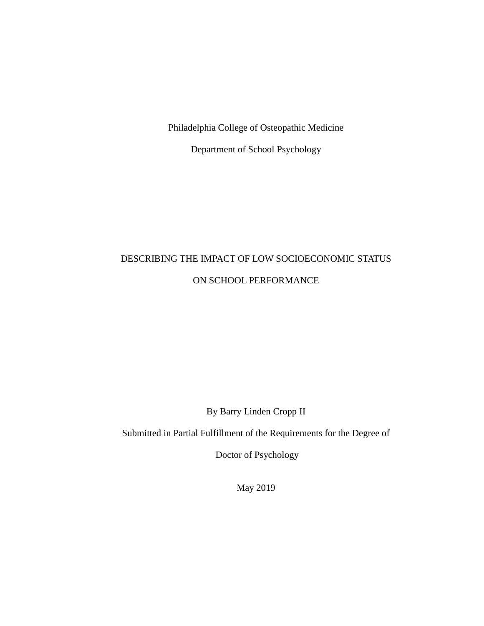Philadelphia College of Osteopathic Medicine

Department of School Psychology

# DESCRIBING THE IMPACT OF LOW SOCIOECONOMIC STATUS ON SCHOOL PERFORMANCE

By Barry Linden Cropp II

Submitted in Partial Fulfillment of the Requirements for the Degree of

Doctor of Psychology

May 2019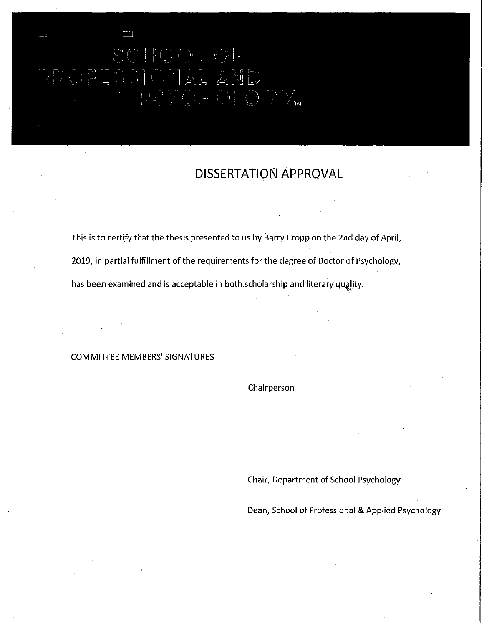# DEESSIONAL AND PSYCHOLOGY<sub>m</sub>

## **DISSERTATION APPROVAL**

This is to certify that the thesis presented to us by Barry Cropp on the 2nd day of April, 2019, in partial fulfillment of the requirements for the degree of Doctor of Psychology, has been examined and is acceptable in both scholarship and literary quality.

#### COMMITTEE MEMBERS' SIGNAfURES

**Chairperson** 

Chair, Department of School Psychology

Dean, School of Professional & Applied Psychology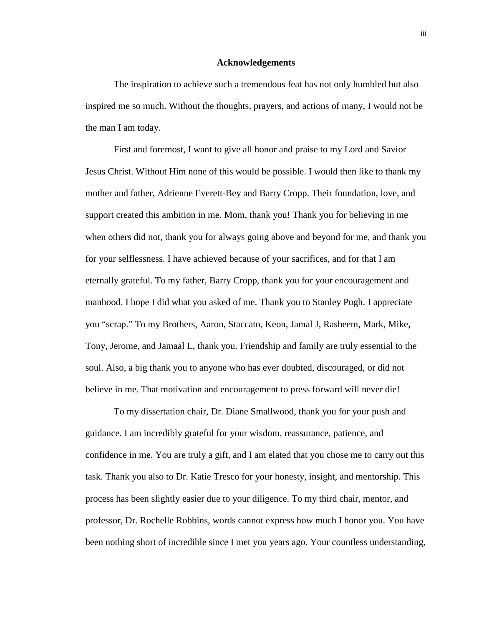#### **Acknowledgements**

The inspiration to achieve such a tremendous feat has not only humbled but also inspired me so much. Without the thoughts, prayers, and actions of many, I would not be the man I am today.

First and foremost, I want to give all honor and praise to my Lord and Savior Jesus Christ. Without Him none of this would be possible. I would then like to thank my mother and father, Adrienne Everett-Bey and Barry Cropp. Their foundation, love, and support created this ambition in me. Mom, thank you! Thank you for believing in me when others did not, thank you for always going above and beyond for me, and thank you for your selflessness. I have achieved because of your sacrifices, and for that I am eternally grateful. To my father, Barry Cropp, thank you for your encouragement and manhood. I hope I did what you asked of me. Thank you to Stanley Pugh. I appreciate you "scrap." To my Brothers, Aaron, Staccato, Keon, Jamal J, Rasheem, Mark, Mike, Tony, Jerome, and Jamaal L, thank you. Friendship and family are truly essential to the soul. Also, a big thank you to anyone who has ever doubted, discouraged, or did not believe in me. That motivation and encouragement to press forward will never die!

To my dissertation chair, Dr. Diane Smallwood, thank you for your push and guidance. I am incredibly grateful for your wisdom, reassurance, patience, and confidence in me. You are truly a gift, and I am elated that you chose me to carry out this task. Thank you also to Dr. Katie Tresco for your honesty, insight, and mentorship. This process has been slightly easier due to your diligence. To my third chair, mentor, and professor, Dr. Rochelle Robbins, words cannot express how much I honor you. You have been nothing short of incredible since I met you years ago. Your countless understanding,

iii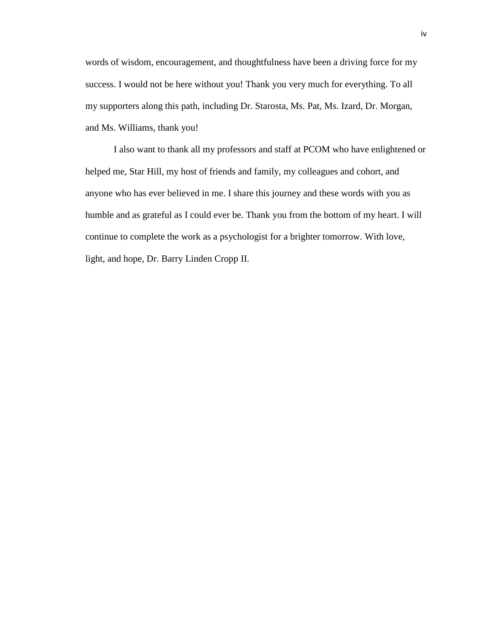words of wisdom, encouragement, and thoughtfulness have been a driving force for my success. I would not be here without you! Thank you very much for everything. To all my supporters along this path, including Dr. Starosta, Ms. Pat, Ms. Izard, Dr. Morgan, and Ms. Williams, thank you!

I also want to thank all my professors and staff at PCOM who have enlightened or helped me, Star Hill, my host of friends and family, my colleagues and cohort, and anyone who has ever believed in me. I share this journey and these words with you as humble and as grateful as I could ever be. Thank you from the bottom of my heart. I will continue to complete the work as a psychologist for a brighter tomorrow. With love, light, and hope, Dr. Barry Linden Cropp II.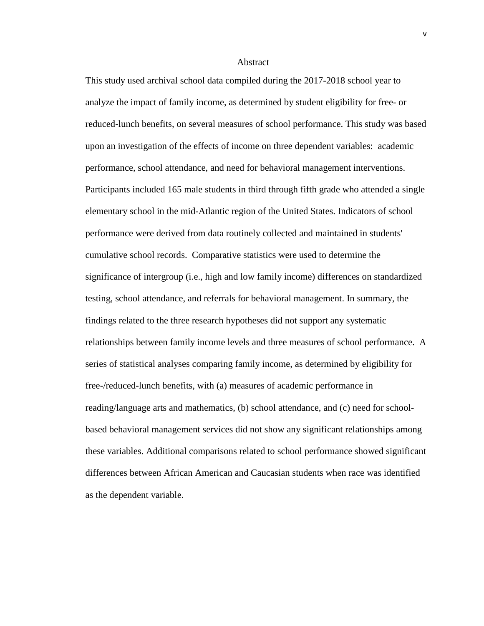#### Abstract

This study used archival school data compiled during the 2017-2018 school year to analyze the impact of family income, as determined by student eligibility for free- or reduced-lunch benefits, on several measures of school performance. This study was based upon an investigation of the effects of income on three dependent variables: academic performance, school attendance, and need for behavioral management interventions. Participants included 165 male students in third through fifth grade who attended a single elementary school in the mid-Atlantic region of the United States. Indicators of school performance were derived from data routinely collected and maintained in students' cumulative school records. Comparative statistics were used to determine the significance of intergroup (i.e., high and low family income) differences on standardized testing, school attendance, and referrals for behavioral management. In summary, the findings related to the three research hypotheses did not support any systematic relationships between family income levels and three measures of school performance. A series of statistical analyses comparing family income, as determined by eligibility for free-/reduced-lunch benefits, with (a) measures of academic performance in reading/language arts and mathematics, (b) school attendance, and (c) need for schoolbased behavioral management services did not show any significant relationships among these variables. Additional comparisons related to school performance showed significant differences between African American and Caucasian students when race was identified as the dependent variable.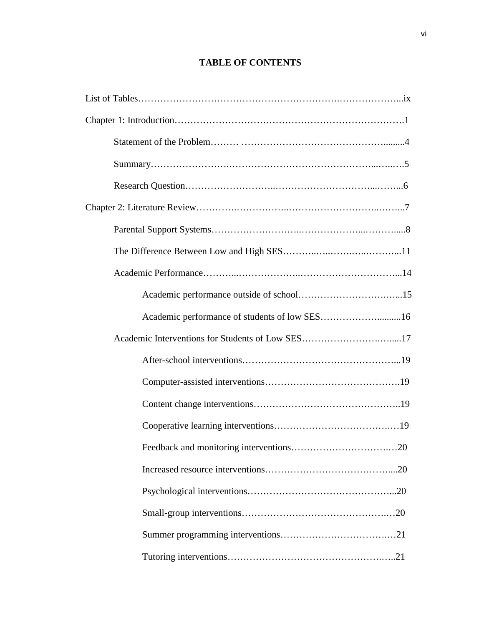## **TABLE OF CONTENTS**

| Academic performance of students of low SES16    |  |
|--------------------------------------------------|--|
| Academic Interventions for Students of Low SES17 |  |
|                                                  |  |
|                                                  |  |
|                                                  |  |
|                                                  |  |
|                                                  |  |
|                                                  |  |
|                                                  |  |
|                                                  |  |
|                                                  |  |
|                                                  |  |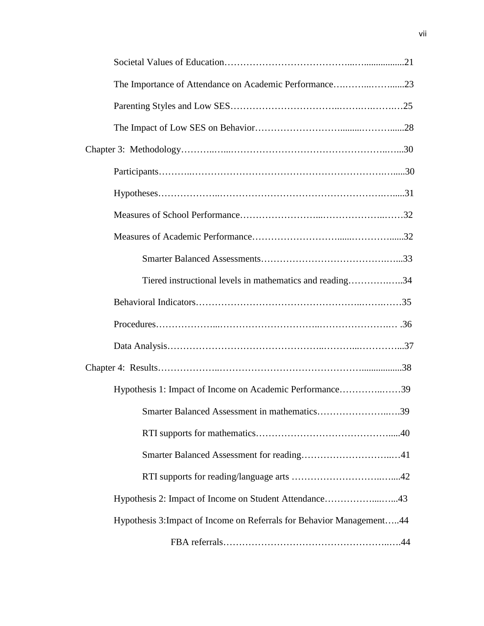| The Importance of Attendance on Academic Performance23                |
|-----------------------------------------------------------------------|
|                                                                       |
|                                                                       |
|                                                                       |
|                                                                       |
|                                                                       |
|                                                                       |
|                                                                       |
|                                                                       |
| Tiered instructional levels in mathematics and reading34              |
|                                                                       |
|                                                                       |
|                                                                       |
|                                                                       |
| Hypothesis 1: Impact of Income on Academic Performance39              |
| Smarter Balanced Assessment in mathematics39                          |
|                                                                       |
|                                                                       |
|                                                                       |
| Hypothesis 2: Impact of Income on Student Attendance43                |
| Hypothesis 3: Impact of Income on Referrals for Behavior Management44 |
|                                                                       |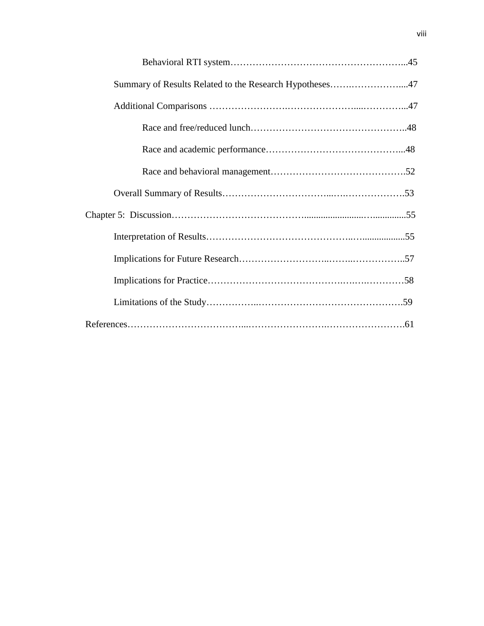| Summary of Results Related to the Research Hypotheses47 |  |
|---------------------------------------------------------|--|
|                                                         |  |
|                                                         |  |
|                                                         |  |
|                                                         |  |
|                                                         |  |
|                                                         |  |
|                                                         |  |
|                                                         |  |
|                                                         |  |
|                                                         |  |
|                                                         |  |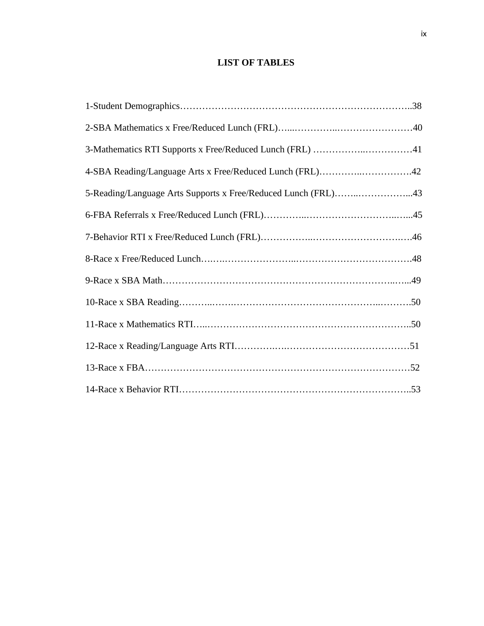### **LIST OF TABLES**

| 4-SBA Reading/Language Arts x Free/Reduced Lunch (FRL)42      |  |
|---------------------------------------------------------------|--|
| 5-Reading/Language Arts Supports x Free/Reduced Lunch (FRL)43 |  |
|                                                               |  |
|                                                               |  |
|                                                               |  |
|                                                               |  |
|                                                               |  |
|                                                               |  |
|                                                               |  |
|                                                               |  |
|                                                               |  |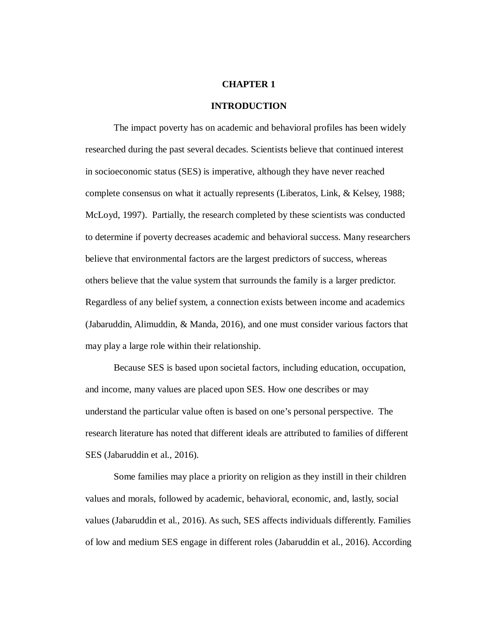#### **CHAPTER 1**

#### **INTRODUCTION**

The impact poverty has on academic and behavioral profiles has been widely researched during the past several decades. Scientists believe that continued interest in socioeconomic status (SES) is imperative, although they have never reached complete consensus on what it actually represents (Liberatos, Link, & Kelsey, 1988; McLoyd, 1997). Partially, the research completed by these scientists was conducted to determine if poverty decreases academic and behavioral success. Many researchers believe that environmental factors are the largest predictors of success, whereas others believe that the value system that surrounds the family is a larger predictor. Regardless of any belief system, a connection exists between income and academics (Jabaruddin, Alimuddin, & Manda, 2016), and one must consider various factors that may play a large role within their relationship.

Because SES is based upon societal factors, including education, occupation, and income, many values are placed upon SES. How one describes or may understand the particular value often is based on one's personal perspective. The research literature has noted that different ideals are attributed to families of different SES (Jabaruddin et al., 2016).

Some families may place a priority on religion as they instill in their children values and morals, followed by academic, behavioral, economic, and, lastly, social values (Jabaruddin et al., 2016). As such, SES affects individuals differently. Families of low and medium SES engage in different roles (Jabaruddin et al., 2016). According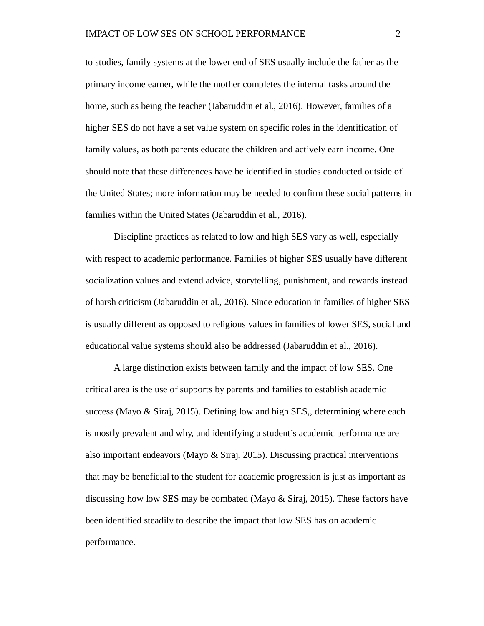to studies, family systems at the lower end of SES usually include the father as the primary income earner, while the mother completes the internal tasks around the home, such as being the teacher (Jabaruddin et al., 2016). However, families of a higher SES do not have a set value system on specific roles in the identification of family values, as both parents educate the children and actively earn income. One should note that these differences have be identified in studies conducted outside of the United States; more information may be needed to confirm these social patterns in families within the United States (Jabaruddin et al., 2016).

Discipline practices as related to low and high SES vary as well, especially with respect to academic performance. Families of higher SES usually have different socialization values and extend advice, storytelling, punishment, and rewards instead of harsh criticism (Jabaruddin et al., 2016). Since education in families of higher SES is usually different as opposed to religious values in families of lower SES, social and educational value systems should also be addressed (Jabaruddin et al., 2016).

A large distinction exists between family and the impact of low SES. One critical area is the use of supports by parents and families to establish academic success (Mayo & Siraj, 2015). Defining low and high SES,, determining where each is mostly prevalent and why, and identifying a student's academic performance are also important endeavors (Mayo  $\&$  Siraj, 2015). Discussing practical interventions that may be beneficial to the student for academic progression is just as important as discussing how low SES may be combated (Mayo  $\&$  Siraj, 2015). These factors have been identified steadily to describe the impact that low SES has on academic performance.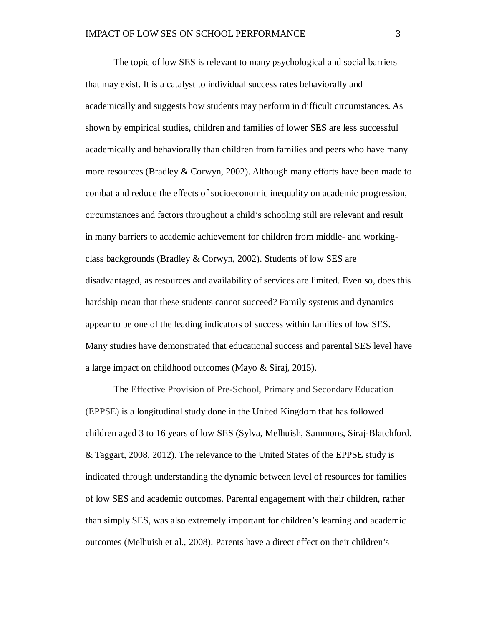The topic of low SES is relevant to many psychological and social barriers that may exist. It is a catalyst to individual success rates behaviorally and academically and suggests how students may perform in difficult circumstances. As shown by empirical studies, children and families of lower SES are less successful academically and behaviorally than children from families and peers who have many more resources (Bradley & Corwyn, 2002). Although many efforts have been made to combat and reduce the effects of socioeconomic inequality on academic progression, circumstances and factors throughout a child's schooling still are relevant and result in many barriers to academic achievement for children from middle- and workingclass backgrounds (Bradley & Corwyn, 2002). Students of low SES are disadvantaged, as resources and availability of services are limited. Even so, does this hardship mean that these students cannot succeed? Family systems and dynamics appear to be one of the leading indicators of success within families of low SES. Many studies have demonstrated that educational success and parental SES level have a large impact on childhood outcomes (Mayo & Siraj, 2015).

The Effective Provision of Pre-School, Primary and Secondary Education (EPPSE) is a longitudinal study done in the United Kingdom that has followed children aged 3 to 16 years of low SES (Sylva, Melhuish, Sammons, Siraj-Blatchford, & Taggart, 2008, 2012). The relevance to the United States of the EPPSE study is indicated through understanding the dynamic between level of resources for families of low SES and academic outcomes. Parental engagement with their children, rather than simply SES, was also extremely important for children's learning and academic outcomes (Melhuish et al., 2008). Parents have a direct effect on their children's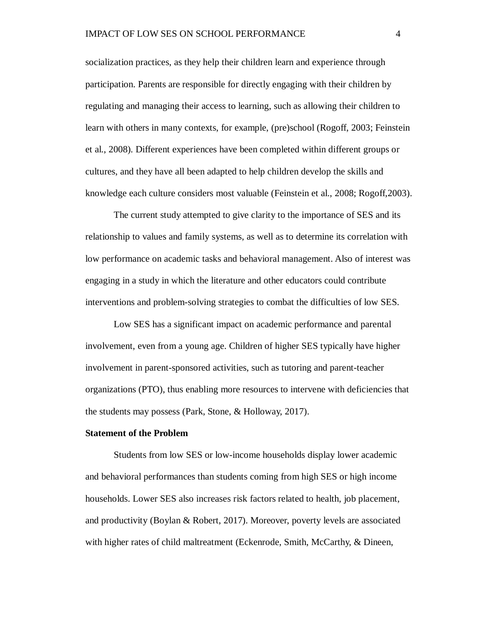socialization practices, as they help their children learn and experience through participation. Parents are responsible for directly engaging with their children by regulating and managing their access to learning, such as allowing their children to learn with others in many contexts, for example, (pre)school (Rogoff, 2003; Feinstein et al., 2008). Different experiences have been completed within different groups or cultures, and they have all been adapted to help children develop the skills and knowledge each culture considers most valuable (Feinstein et al., 2008; Rogoff,2003).

The current study attempted to give clarity to the importance of SES and its relationship to values and family systems, as well as to determine its correlation with low performance on academic tasks and behavioral management. Also of interest was engaging in a study in which the literature and other educators could contribute interventions and problem-solving strategies to combat the difficulties of low SES.

Low SES has a significant impact on academic performance and parental involvement, even from a young age. Children of higher SES typically have higher involvement in parent-sponsored activities, such as tutoring and parent-teacher organizations (PTO), thus enabling more resources to intervene with deficiencies that the students may possess (Park, Stone, & Holloway, 2017).

#### **Statement of the Problem**

Students from low SES or low-income households display lower academic and behavioral performances than students coming from high SES or high income households. Lower SES also increases risk factors related to health, job placement, and productivity (Boylan & Robert, 2017). Moreover, poverty levels are associated with higher rates of child maltreatment [\(Eckenrode, Smith, McCarthy, & Dineen,](https://www-sciencedirect-com.ezproxy.pcom.edu/science/article/pii/S0145213416303258#bib0100)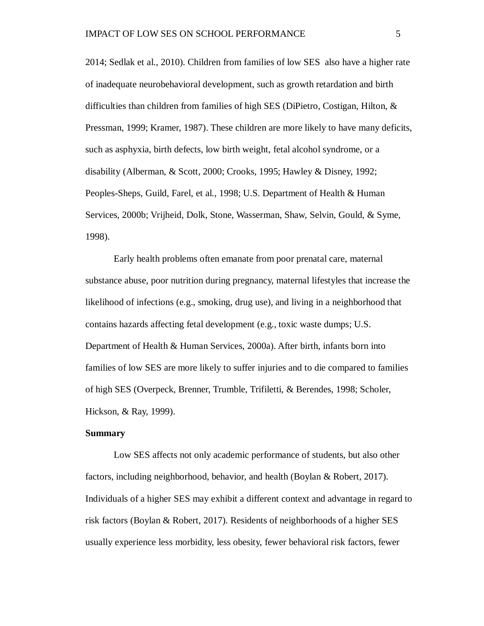[2014;](https://www-sciencedirect-com.ezproxy.pcom.edu/science/article/pii/S0145213416303258#bib0100) [Sedlak et al., 2010\)](https://www-sciencedirect-com.ezproxy.pcom.edu/science/article/pii/S0145213416303258#bib0195). Children from families of low SES also have a higher rate of inadequate neurobehavioral development, such as growth retardation and birth difficulties than children from families of high SES (DiPietro, Costigan, Hilton, & Pressman, 1999; Kramer, 1987). These children are more likely to have many deficits, such as asphyxia, birth defects, low birth weight, fetal alcohol syndrome, or a disability (Alberman, & Scott, 2000; Crooks, 1995; Hawley & Disney, 1992; Peoples-Sheps, Guild, Farel, et al., 1998; U.S. Department of Health & Human Services, 2000b; Vrijheid, Dolk, Stone, Wasserman, Shaw, Selvin, Gould, & Syme, 1998).

Early health problems often emanate from poor prenatal care, maternal substance abuse, poor nutrition during pregnancy, maternal lifestyles that increase the likelihood of infections (e.g., smoking, drug use), and living in a neighborhood that contains hazards affecting fetal development (e.g., toxic waste dumps; U.S. Department of Health & Human Services, 2000a). After birth, infants born into families of low SES are more likely to suffer injuries and to die compared to families of high SES (Overpeck, Brenner, Trumble, Trifiletti, & Berendes, 1998; Scholer, Hickson, & Ray, 1999).

#### **Summary**

Low SES affects not only academic performance of students, but also other factors, including neighborhood, behavior, and health (Boylan & Robert, 2017). Individuals of a higher SES may exhibit a different context and advantage in regard to risk factors (Boylan & Robert, 2017). Residents of neighborhoods of a higher SES usually experience less morbidity, less obesity, fewer behavioral risk factors, fewer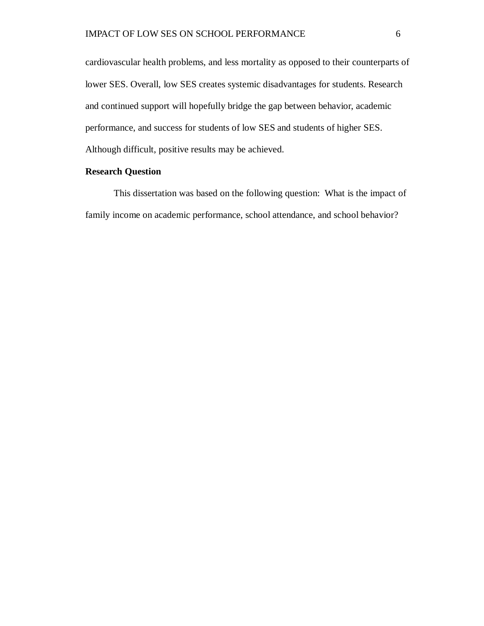cardiovascular health problems, and less mortality as opposed to their counterparts of lower SES. Overall, low SES creates systemic disadvantages for students. Research and continued support will hopefully bridge the gap between behavior, academic performance, and success for students of low SES and students of higher SES. Although difficult, positive results may be achieved.

#### **Research Question**

This dissertation was based on the following question: What is the impact of family income on academic performance, school attendance, and school behavior?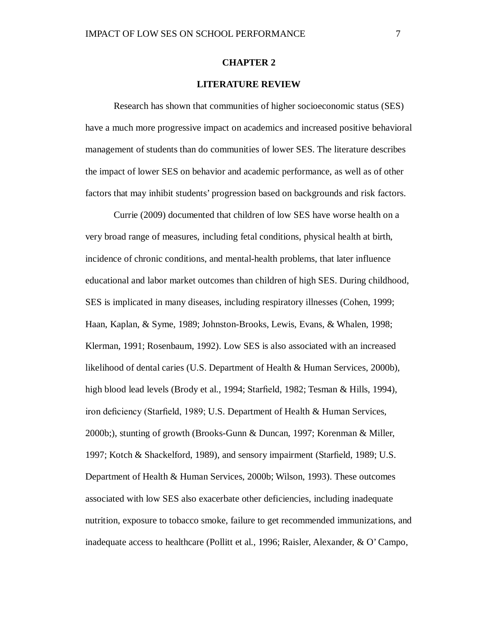#### **LITERATURE REVIEW**

Research has shown that communities of higher socioeconomic status (SES) have a much more progressive impact on academics and increased positive behavioral management of students than do communities of lower SES. The literature describes the impact of lower SES on behavior and academic performance, as well as of other factors that may inhibit students' progression based on backgrounds and risk factors.

Currie (2009) documented that children of low SES have worse health on a very broad range of measures, including fetal conditions, physical health at birth, incidence of chronic conditions, and mental-health problems, that later influence educational and labor market outcomes than children of high SES. During childhood, SES is implicated in many diseases, including respiratory illnesses (Cohen, 1999; Haan, Kaplan, & Syme, 1989; Johnston-Brooks, Lewis, Evans, & Whalen, 1998; Klerman, 1991; Rosenbaum, 1992). Low SES is also associated with an increased likelihood of dental caries (U.S. Department of Health & Human Services, 2000b), high blood lead levels (Brody et al., 1994; Starfield, 1982; Tesman & Hills, 1994), iron deficiency (Starfield, 1989; U.S. Department of Health & Human Services, 2000b;), stunting of growth (Brooks-Gunn & Duncan, 1997; Korenman & Miller, 1997; Kotch & Shackelford, 1989), and sensory impairment (Starfield, 1989; U.S. Department of Health & Human Services, 2000b; Wilson, 1993). These outcomes associated with low SES also exacerbate other deficiencies, including inadequate nutrition, exposure to tobacco smoke, failure to get recommended immunizations, and inadequate access to healthcare (Pollitt et al., 1996; Raisler, Alexander, & O' Campo,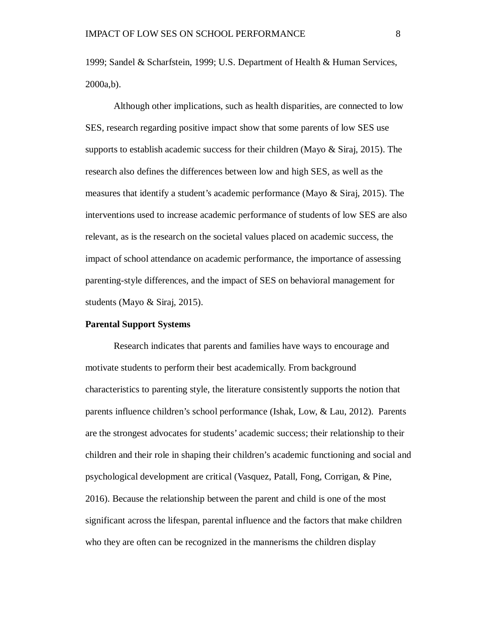1999; Sandel & Scharfstein, 1999; U.S. Department of Health & Human Services, 2000a,b).

Although other implications, such as health disparities, are connected to low SES, research regarding positive impact show that some parents of low SES use supports to establish academic success for their children (Mayo  $\&$  Siraj, 2015). The research also defines the differences between low and high SES, as well as the measures that identify a student's academic performance (Mayo & Siraj, 2015). The interventions used to increase academic performance of students of low SES are also relevant, as is the research on the societal values placed on academic success, the impact of school attendance on academic performance, the importance of assessing parenting-style differences, and the impact of SES on behavioral management for students (Mayo & Siraj, 2015).

#### **Parental Support Systems**

Research indicates that parents and families have ways to encourage and motivate students to perform their best academically. From background characteristics to parenting style, the literature consistently supports the notion that parents influence children's school performance (Ishak, Low, & Lau, 2012). Parents are the strongest advocates for students' academic success; their relationship to their children and their role in shaping their children's academic functioning and social and psychological development are critical (Vasquez, Patall, Fong, Corrigan, & Pine, 2016). Because the relationship between the parent and child is one of the most significant across the lifespan, parental influence and the factors that make children who they are often can be recognized in the mannerisms the children display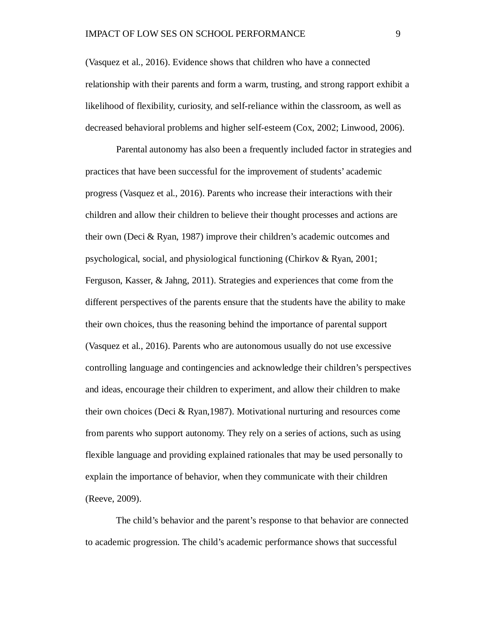(Vasquez et al., 2016). Evidence shows that children who have a connected relationship with their parents and form a warm, trusting, and strong rapport exhibit a likelihood of flexibility, curiosity, and self-reliance within the classroom, as well as decreased behavioral problems and higher self-esteem (Cox, 2002; Linwood, 2006).

Parental autonomy has also been a frequently included factor in strategies and practices that have been successful for the improvement of students' academic progress (Vasquez et al., 2016). Parents who increase their interactions with their children and allow their children to believe their thought processes and actions are their own (Deci & Ryan, 1987) improve their children's academic outcomes and psychological, social, and physiological functioning (Chirkov & Ryan, 2001; Ferguson, Kasser, & Jahng, 2011). Strategies and experiences that come from the different perspectives of the parents ensure that the students have the ability to make their own choices, thus the reasoning behind the importance of parental support (Vasquez et al., 2016). Parents who are autonomous usually do not use excessive controlling language and contingencies and acknowledge their children's perspectives and ideas, encourage their children to experiment, and allow their children to make their own choices (Deci & Ryan,1987). Motivational nurturing and resources come from parents who support autonomy. They rely on a series of actions, such as using flexible language and providing explained rationales that may be used personally to explain the importance of behavior, when they communicate with their children (Reeve, 2009).

The child's behavior and the parent's response to that behavior are connected to academic progression. The child's academic performance shows that successful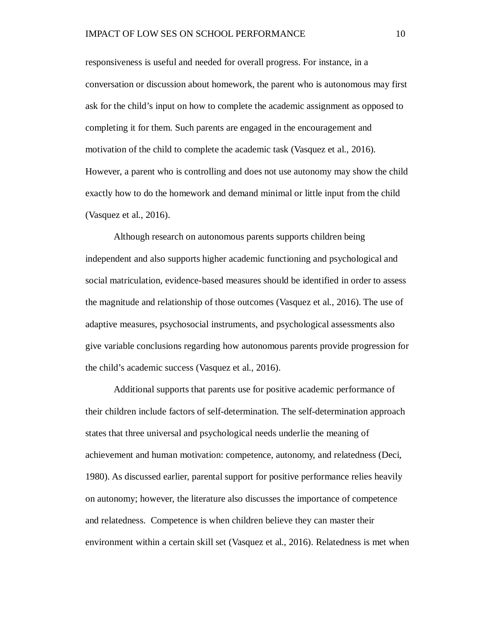responsiveness is useful and needed for overall progress. For instance, in a conversation or discussion about homework, the parent who is autonomous may first ask for the child's input on how to complete the academic assignment as opposed to completing it for them. Such parents are engaged in the encouragement and motivation of the child to complete the academic task (Vasquez et al., 2016). However, a parent who is controlling and does not use autonomy may show the child exactly how to do the homework and demand minimal or little input from the child (Vasquez et al., 2016).

Although research on autonomous parents supports children being independent and also supports higher academic functioning and psychological and social matriculation, evidence-based measures should be identified in order to assess the magnitude and relationship of those outcomes (Vasquez et al., 2016). The use of adaptive measures, psychosocial instruments, and psychological assessments also give variable conclusions regarding how autonomous parents provide progression for the child's academic success (Vasquez et al., 2016).

Additional supports that parents use for positive academic performance of their children include factors of self-determination. The self-determination approach states that three universal and psychological needs underlie the meaning of achievement and human motivation: competence, autonomy, and relatedness (Deci, 1980). As discussed earlier, parental support for positive performance relies heavily on autonomy; however, the literature also discusses the importance of competence and relatedness. Competence is when children believe they can master their environment within a certain skill set (Vasquez et al., 2016). Relatedness is met when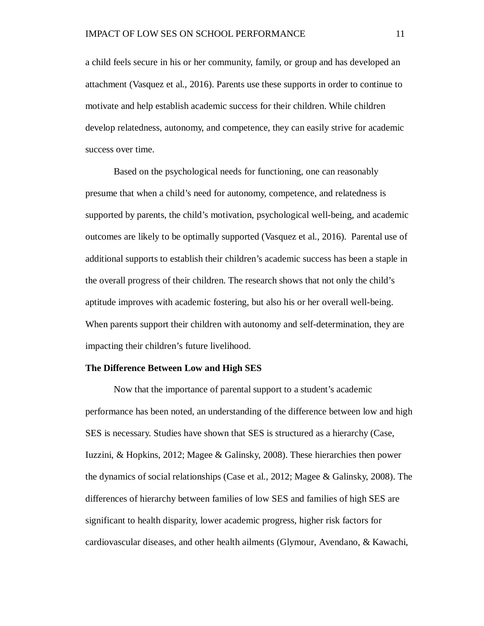a child feels secure in his or her community, family, or group and has developed an attachment (Vasquez et al., 2016). Parents use these supports in order to continue to motivate and help establish academic success for their children. While children develop relatedness, autonomy, and competence, they can easily strive for academic success over time.

Based on the psychological needs for functioning, one can reasonably presume that when a child's need for autonomy, competence, and relatedness is supported by parents, the child's motivation, psychological well-being, and academic outcomes are likely to be optimally supported (Vasquez et al., 2016). Parental use of additional supports to establish their children's academic success has been a staple in the overall progress of their children. The research shows that not only the child's aptitude improves with academic fostering, but also his or her overall well-being. When parents support their children with autonomy and self-determination, they are impacting their children's future livelihood.

#### **The Difference Between Low and High SES**

Now that the importance of parental support to a student's academic performance has been noted, an understanding of the difference between low and high SES is necessary. Studies have shown that SES is structured as a hierarchy (Case, Iuzzini, & Hopkins, 2012; Magee & Galinsky, 2008). These hierarchies then power the dynamics of social relationships (Case et al., 2012; Magee & Galinsky, 2008). The differences of hierarchy between families of low SES and families of high SES are significant to health disparity, lower academic progress, higher risk factors for cardiovascular diseases, and other health ailments (Glymour, Avendano, & Kawachi,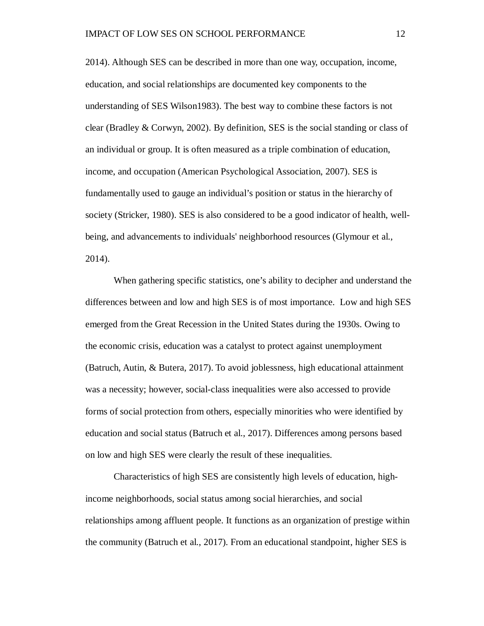2014). Although SES can be described in more than one way, occupation, income, education, and social relationships are documented key components to the understanding of SES Wilson1983). The best way to combine these factors is not clear (Bradley & Corwyn, 2002). By definition, SES is the social standing or class of an individual or group. It is often measured as a triple combination of education, income, and occupation (American Psychological Association, 2007). SES is fundamentally used to gauge an individual's position or status in the hierarchy of society (Stricker, 1980). SES is also considered to be a good indicator of health, wellbeing, and advancements to individuals' neighborhood resources (Glymour et al., 2014).

When gathering specific statistics, one's ability to decipher and understand the differences between and low and high SES is of most importance. Low and high SES emerged from the Great Recession in the United States during the 1930s. Owing to the economic crisis, education was a catalyst to protect against unemployment (Batruch, Autin, & Butera, 2017). To avoid joblessness, high educational attainment was a necessity; however, social-class inequalities were also accessed to provide forms of social protection from others, especially minorities who were identified by education and social status (Batruch et al., 2017). Differences among persons based on low and high SES were clearly the result of these inequalities.

Characteristics of high SES are consistently high levels of education, highincome neighborhoods, social status among social hierarchies, and social relationships among affluent people. It functions as an organization of prestige within the community (Batruch et al., 2017). From an educational standpoint, higher SES is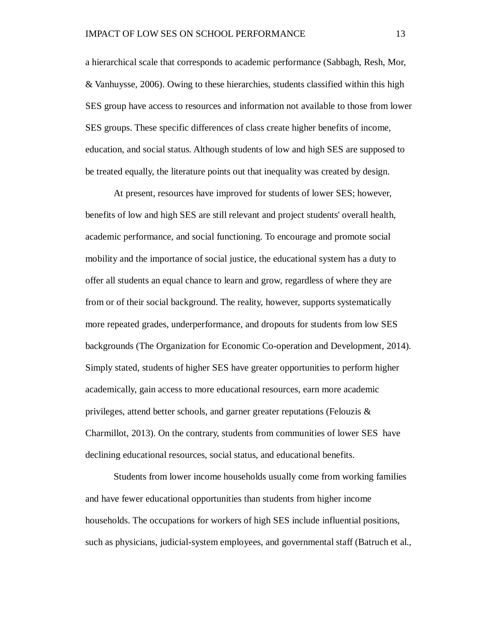a hierarchical scale that corresponds to academic performance (Sabbagh, Resh, Mor, & Vanhuysse, 2006). Owing to these hierarchies, students classified within this high SES group have access to resources and information not available to those from lower SES groups. These specific differences of class create higher benefits of income, education, and social status. Although students of low and high SES are supposed to be treated equally, the literature points out that inequality was created by design.

At present, resources have improved for students of lower SES; however, benefits of low and high SES are still relevant and project students' overall health, academic performance, and social functioning. To encourage and promote social mobility and the importance of social justice, the educational system has a duty to offer all students an equal chance to learn and grow, regardless of where they are from or of their social background. The reality, however, supports systematically more repeated grades, underperformance, and dropouts for students from low SES backgrounds (The Organization for Economic Co-operation and Development, 2014). Simply stated, students of higher SES have greater opportunities to perform higher academically, gain access to more educational resources, earn more academic privileges, attend better schools, and garner greater reputations (Felouzis & Charmillot, 2013). On the contrary, students from communities of lower SES have declining educational resources, social status, and educational benefits.

Students from lower income households usually come from working families and have fewer educational opportunities than students from higher income households. The occupations for workers of high SES include influential positions, such as physicians, judicial-system employees, and governmental staff (Batruch et al.,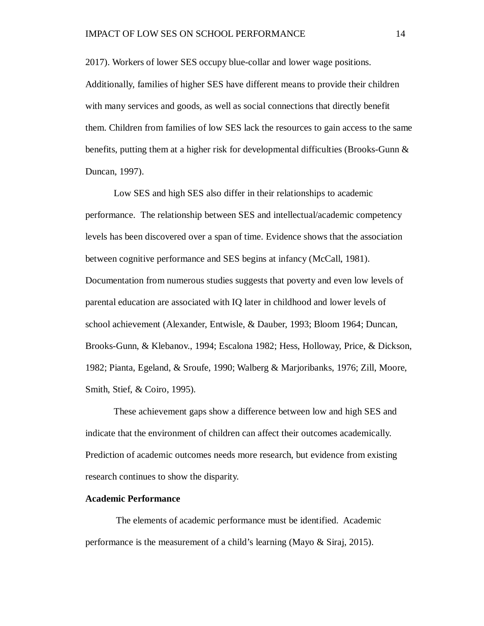2017). Workers of lower SES occupy blue-collar and lower wage positions. Additionally, families of higher SES have different means to provide their children with many services and goods, as well as social connections that directly benefit them. Children from families of low SES lack the resources to gain access to the same benefits, putting them at a higher risk for developmental difficulties (Brooks-Gunn  $\&$ Duncan, 1997).

Low SES and high SES also differ in their relationships to academic performance. The relationship between SES and intellectual/academic competency levels has been discovered over a span of time. Evidence shows that the association between cognitive performance and SES begins at infancy (McCall, 1981). Documentation from numerous studies suggests that poverty and even low levels of parental education are associated with IQ later in childhood and lower levels of school achievement (Alexander, Entwisle, & Dauber, 1993; Bloom 1964; Duncan, Brooks-Gunn, & Klebanov., 1994; Escalona 1982; Hess, Holloway, Price, & Dickson, 1982; Pianta, Egeland, & Sroufe, 1990; Walberg & Marjoribanks, 1976; Zill, Moore, Smith, Stief, & Coiro, 1995).

These achievement gaps show a difference between low and high SES and indicate that the environment of children can affect their outcomes academically. Prediction of academic outcomes needs more research, but evidence from existing research continues to show the disparity.

#### **Academic Performance**

The elements of academic performance must be identified. Academic performance is the measurement of a child's learning (Mayo & Siraj, 2015).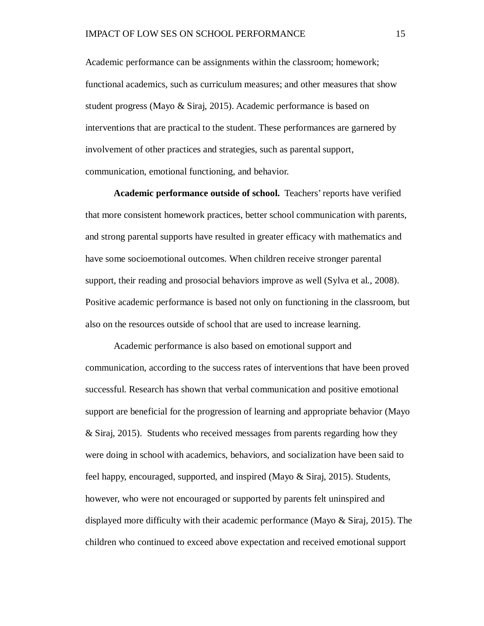Academic performance can be assignments within the classroom; homework; functional academics, such as curriculum measures; and other measures that show student progress (Mayo & Siraj, 2015). Academic performance is based on interventions that are practical to the student. These performances are garnered by involvement of other practices and strategies, such as parental support, communication, emotional functioning, and behavior.

**Academic performance outside of school.** Teachers' reports have verified that more consistent homework practices, better school communication with parents, and strong parental supports have resulted in greater efficacy with mathematics and have some socioemotional outcomes. When children receive stronger parental support, their reading and prosocial behaviors improve as well (Sylva et al., 2008). Positive academic performance is based not only on functioning in the classroom, but also on the resources outside of school that are used to increase learning.

Academic performance is also based on emotional support and communication, according to the success rates of interventions that have been proved successful. Research has shown that verbal communication and positive emotional support are beneficial for the progression of learning and appropriate behavior (Mayo & Siraj, 2015). Students who received messages from parents regarding how they were doing in school with academics, behaviors, and socialization have been said to feel happy, encouraged, supported, and inspired (Mayo & Siraj, 2015). Students, however, who were not encouraged or supported by parents felt uninspired and displayed more difficulty with their academic performance (Mayo & Siraj, 2015). The children who continued to exceed above expectation and received emotional support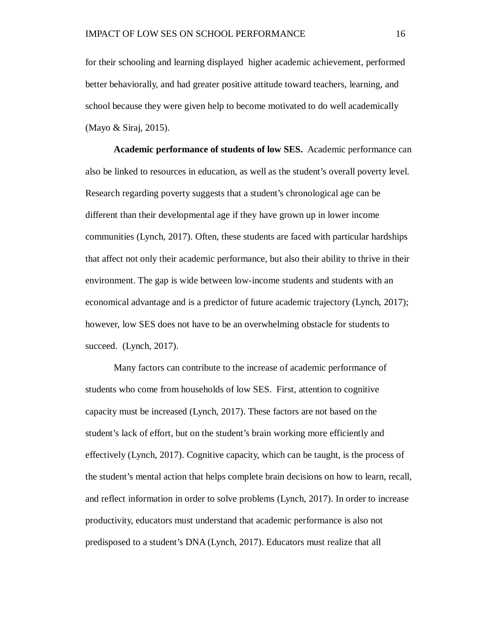for their schooling and learning displayed higher academic achievement, performed better behaviorally, and had greater positive attitude toward teachers, learning, and school because they were given help to become motivated to do well academically (Mayo & Siraj, 2015).

**Academic performance of students of low SES.** Academic performance can also be linked to resources in education, as well as the student's overall poverty level. Research regarding poverty suggests that a student's chronological age can be different than their developmental age if they have grown up in lower income communities (Lynch, 2017). Often, these students are faced with particular hardships that affect not only their academic performance, but also their ability to thrive in their environment. The gap is wide between low-income students and students with an economical advantage and is a predictor of future academic trajectory (Lynch, 2017); however, low SES does not have to be an overwhelming obstacle for students to succeed. (Lynch, 2017).

Many factors can contribute to the increase of academic performance of students who come from households of low SES. First, attention to cognitive capacity must be increased (Lynch, 2017). These factors are not based on the student's lack of effort, but on the student's brain working more efficiently and effectively (Lynch, 2017). Cognitive capacity, which can be taught, is the process of the student's mental action that helps complete brain decisions on how to learn, recall, and reflect information in order to solve problems (Lynch, 2017). In order to increase productivity, educators must understand that academic performance is also not predisposed to a student's DNA (Lynch, 2017). Educators must realize that all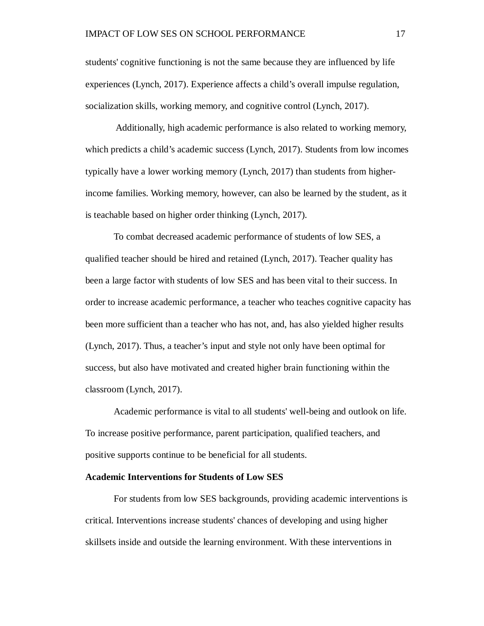students' cognitive functioning is not the same because they are influenced by life experiences (Lynch, 2017). Experience affects a child's overall impulse regulation, socialization skills, working memory, and cognitive control (Lynch, 2017).

Additionally, high academic performance is also related to working memory, which predicts a child's academic success (Lynch, 2017). Students from low incomes typically have a lower working memory (Lynch, 2017) than students from higherincome families. Working memory, however, can also be learned by the student, as it is teachable based on higher order thinking (Lynch, 2017).

To combat decreased academic performance of students of low SES, a qualified teacher should be hired and retained (Lynch, 2017). Teacher quality has been a large factor with students of low SES and has been vital to their success. In order to increase academic performance, a teacher who teaches cognitive capacity has been more sufficient than a teacher who has not, and, has also yielded higher results (Lynch, 2017). Thus, a teacher's input and style not only have been optimal for success, but also have motivated and created higher brain functioning within the classroom (Lynch, 2017).

Academic performance is vital to all students' well-being and outlook on life. To increase positive performance, parent participation, qualified teachers, and positive supports continue to be beneficial for all students.

#### **Academic Interventions for Students of Low SES**

For students from low SES backgrounds, providing academic interventions is critical. Interventions increase students' chances of developing and using higher skillsets inside and outside the learning environment. With these interventions in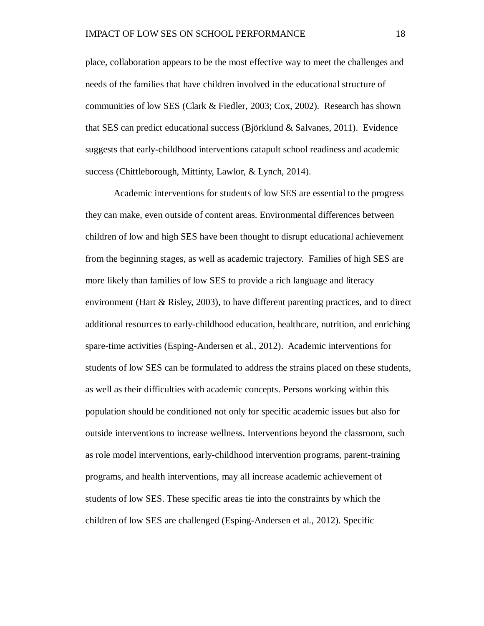place, collaboration appears to be the most effective way to meet the challenges and needs of the families that have children involved in the educational structure of communities of low SES (Clark & Fiedler, 2003; Cox, 2002). Research has shown that SES can predict educational success (Björklund & Salvanes, 2011). Evidence suggests that early-childhood interventions catapult school readiness and academic success (Chittleborough, Mittinty, Lawlor, & Lynch, 2014).

Academic interventions for students of low SES are essential to the progress they can make, even outside of content areas. Environmental differences between children of low and high SES have been thought to disrupt educational achievement from the beginning stages, as well as academic trajectory. Families of high SES are more likely than families of low SES to provide a rich language and literacy environment (Hart & Risley, 2003), to have different parenting practices, and to direct additional resources to early-childhood education, healthcare, nutrition, and enriching spare-time activities (Esping-Andersen et al., 2012). Academic interventions for students of low SES can be formulated to address the strains placed on these students, as well as their difficulties with academic concepts. Persons working within this population should be conditioned not only for specific academic issues but also for outside interventions to increase wellness. Interventions beyond the classroom, such as role model interventions, early-childhood intervention programs, parent-training programs, and health interventions, may all increase academic achievement of students of low SES. These specific areas tie into the constraints by which the children of low SES are challenged (Esping-Andersen et al., 2012). Specific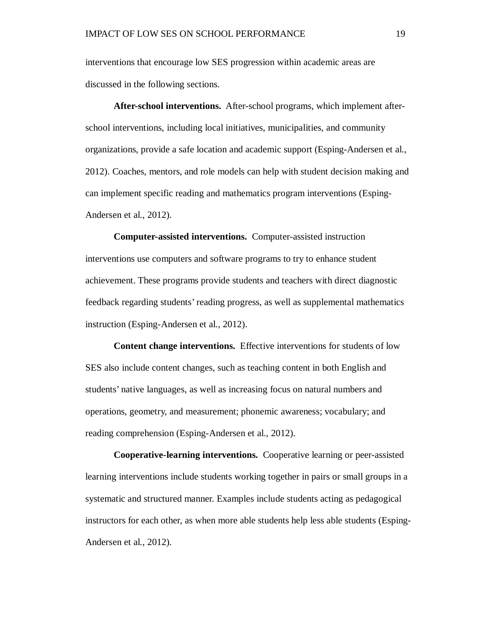interventions that encourage low SES progression within academic areas are discussed in the following sections.

**After-school interventions.** After-school programs, which implement afterschool interventions, including local initiatives, municipalities, and community organizations, provide a safe location and academic support (Esping-Andersen et al., 2012). Coaches, mentors, and role models can help with student decision making and can implement specific reading and mathematics program interventions (Esping-Andersen et al., 2012).

**Computer-assisted interventions.** Computer-assisted instruction interventions use computers and software programs to try to enhance student achievement. These programs provide students and teachers with direct diagnostic feedback regarding students' reading progress, as well as supplemental mathematics instruction (Esping-Andersen et al., 2012).

**Content change interventions.** Effective interventions for students of low SES also include content changes, such as teaching content in both English and students' native languages, as well as increasing focus on natural numbers and operations, geometry, and measurement; phonemic awareness; vocabulary; and reading comprehension (Esping-Andersen et al., 2012).

**Cooperative-learning interventions.** Cooperative learning or peer-assisted learning interventions include students working together in pairs or small groups in a systematic and structured manner. Examples include students acting as pedagogical instructors for each other, as when more able students help less able students (Esping-Andersen et al., 2012).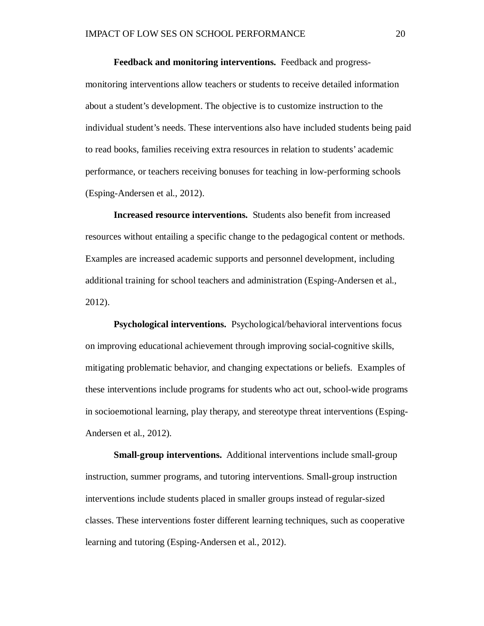**Feedback and monitoring interventions.** Feedback and progressmonitoring interventions allow teachers or students to receive detailed information about a student's development. The objective is to customize instruction to the individual student's needs. These interventions also have included students being paid to read books, families receiving extra resources in relation to students' academic performance, or teachers receiving bonuses for teaching in low-performing schools (Esping-Andersen et al., 2012).

**Increased resource interventions.** Students also benefit from increased resources without entailing a specific change to the pedagogical content or methods. Examples are increased academic supports and personnel development, including additional training for school teachers and administration (Esping-Andersen et al., 2012).

**Psychological interventions.** Psychological/behavioral interventions focus on improving educational achievement through improving social-cognitive skills, mitigating problematic behavior, and changing expectations or beliefs. Examples of these interventions include programs for students who act out, school-wide programs in socioemotional learning, play therapy, and stereotype threat interventions (Esping-Andersen et al., 2012).

**Small-group interventions.** Additional interventions include small-group instruction, summer programs, and tutoring interventions. Small-group instruction interventions include students placed in smaller groups instead of regular-sized classes. These interventions foster different learning techniques, such as cooperative learning and tutoring (Esping-Andersen et al., 2012).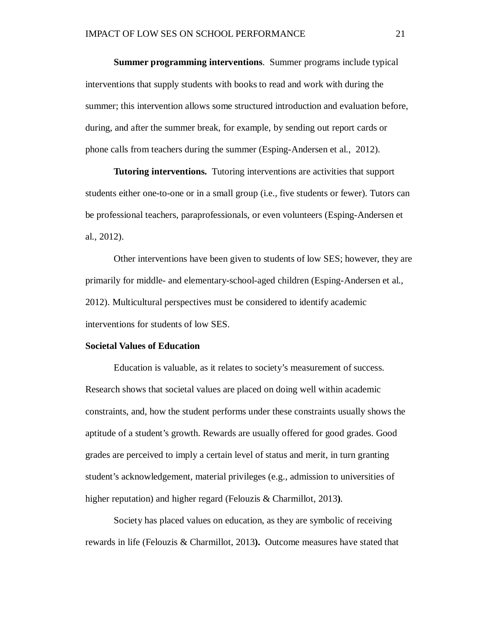**Summer programming interventions**. Summer programs include typical interventions that supply students with books to read and work with during the summer; this intervention allows some structured introduction and evaluation before, during, and after the summer break, for example, by sending out report cards or phone calls from teachers during the summer (Esping-Andersen et al., 2012).

**Tutoring interventions.** Tutoring interventions are activities that support students either one-to-one or in a small group (i.e., five students or fewer). Tutors can be professional teachers, paraprofessionals, or even volunteers (Esping-Andersen et al., 2012).

Other interventions have been given to students of low SES; however, they are primarily for middle- and elementary-school-aged children (Esping-Andersen et al., 2012). Multicultural perspectives must be considered to identify academic interventions for students of low SES.

#### **Societal Values of Education**

Education is valuable, as it relates to society's measurement of success. Research shows that societal values are placed on doing well within academic constraints, and, how the student performs under these constraints usually shows the aptitude of a student's growth. Rewards are usually offered for good grades. Good grades are perceived to imply a certain level of status and merit, in turn granting student's acknowledgement, material privileges (e.g., admission to universities of higher reputation) and higher regard (Felouzis & Charmillot, 2013**)**.

Society has placed values on education, as they are symbolic of receiving rewards in life (Felouzis & Charmillot, 2013**).** Outcome measures have stated that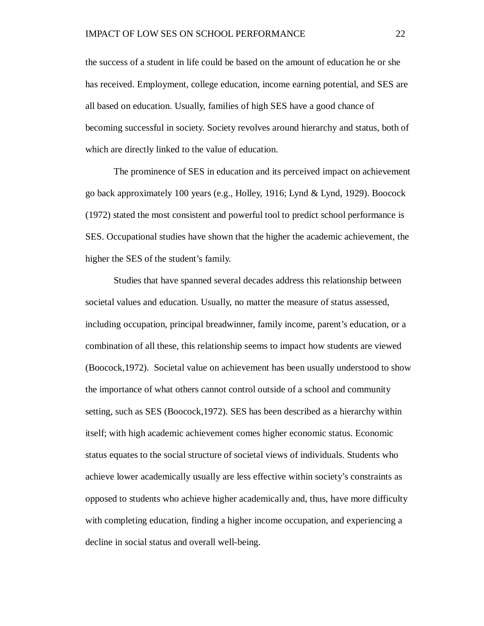the success of a student in life could be based on the amount of education he or she has received. Employment, college education, income earning potential, and SES are all based on education. Usually, families of high SES have a good chance of becoming successful in society. Society revolves around hierarchy and status, both of which are directly linked to the value of education.

The prominence of SES in education and its perceived impact on achievement go back approximately 100 years (e.g., Holley, 1916; Lynd & Lynd, 1929). Boocock (1972) stated the most consistent and powerful tool to predict school performance is SES. Occupational studies have shown that the higher the academic achievement, the higher the SES of the student's family.

Studies that have spanned several decades address this relationship between societal values and education. Usually, no matter the measure of status assessed, including occupation, principal breadwinner, family income, parent's education, or a combination of all these, this relationship seems to impact how students are viewed (Boocock,1972). Societal value on achievement has been usually understood to show the importance of what others cannot control outside of a school and community setting, such as SES (Boocock,1972). SES has been described as a hierarchy within itself; with high academic achievement comes higher economic status. Economic status equates to the social structure of societal views of individuals. Students who achieve lower academically usually are less effective within society's constraints as opposed to students who achieve higher academically and, thus, have more difficulty with completing education, finding a higher income occupation, and experiencing a decline in social status and overall well-being.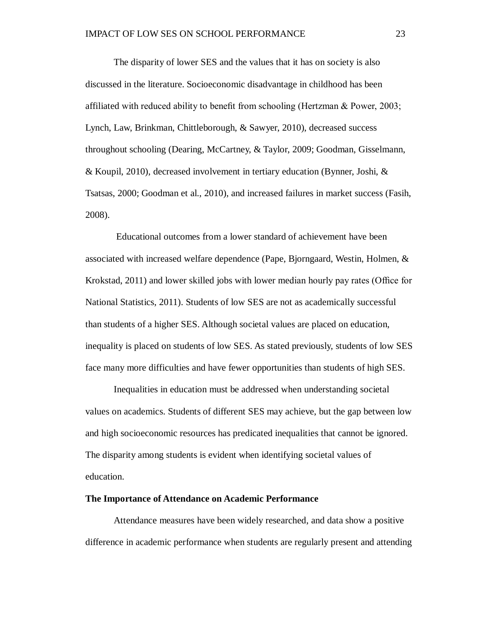The disparity of lower SES and the values that it has on society is also discussed in the literature. Socioeconomic disadvantage in childhood has been affiliated with reduced ability to benefit from schooling (Hertzman & Power, 2003; Lynch, Law, Brinkman, Chittleborough, & Sawyer, 2010), decreased success throughout schooling (Dearing, McCartney, & Taylor, 2009; Goodman, Gisselmann, & Koupil, 2010), decreased involvement in tertiary education (Bynner, Joshi, & Tsatsas, 2000; Goodman et al., 2010), and increased failures in market success (Fasih, 2008).

Educational outcomes from a lower standard of achievement have been associated with increased welfare dependence (Pape, Bjorngaard, Westin, Holmen, & Krokstad, 2011) and lower skilled jobs with lower median hourly pay rates (Office for National Statistics, 2011). Students of low SES are not as academically successful than students of a higher SES. Although societal values are placed on education, inequality is placed on students of low SES. As stated previously, students of low SES face many more difficulties and have fewer opportunities than students of high SES.

Inequalities in education must be addressed when understanding societal values on academics. Students of different SES may achieve, but the gap between low and high socioeconomic resources has predicated inequalities that cannot be ignored. The disparity among students is evident when identifying societal values of education.

#### **The Importance of Attendance on Academic Performance**

Attendance measures have been widely researched, and data show a positive difference in academic performance when students are regularly present and attending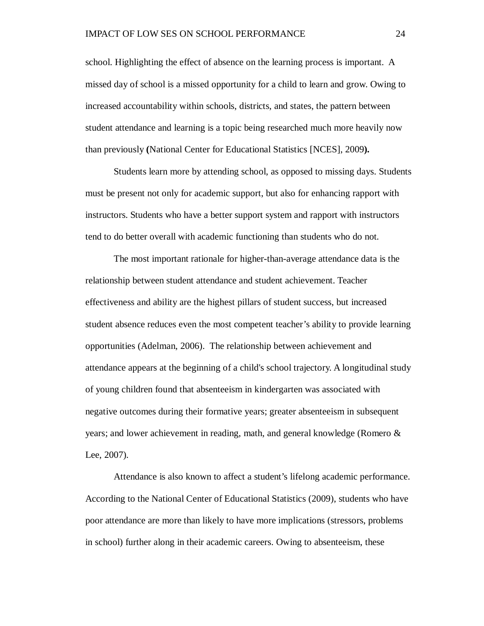school. Highlighting the effect of absence on the learning process is important. A missed day of school is a missed opportunity for a child to learn and grow. Owing to increased accountability within schools, districts, and states, the pattern between student attendance and learning is a topic being researched much more heavily now than previously **(**National Center for Educational Statistics [NCES], 2009**).**

Students learn more by attending school, as opposed to missing days. Students must be present not only for academic support, but also for enhancing rapport with instructors. Students who have a better support system and rapport with instructors tend to do better overall with academic functioning than students who do not.

The most important rationale for higher-than-average attendance data is the relationship between student attendance and student achievement. Teacher effectiveness and ability are the highest pillars of student success, but increased student absence reduces even the most competent teacher's ability to provide learning opportunities (Adelman, 2006). The relationship between achievement and attendance appears at the beginning of a child's school trajectory. A longitudinal study of young children found that absenteeism in kindergarten was associated with negative outcomes during their formative years; greater absenteeism in subsequent years; and lower achievement in reading, math, and general knowledge (Romero & Lee, 2007)*.*

Attendance is also known to affect a student's lifelong academic performance. According to the National Center of Educational Statistics (2009), students who have poor attendance are more than likely to have more implications (stressors, problems in school) further along in their academic careers. Owing to absenteeism, these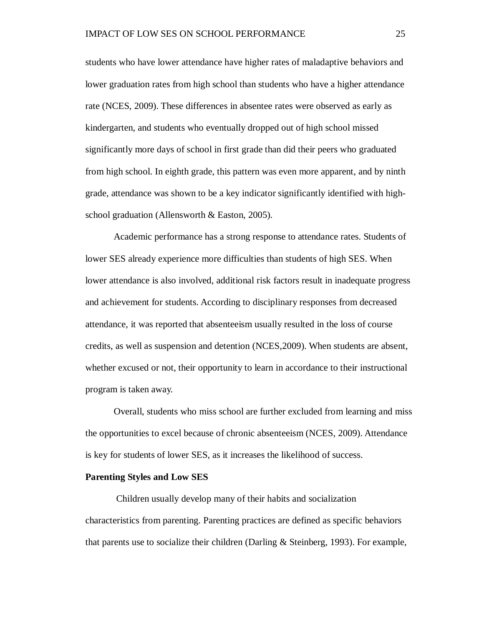students who have lower attendance have higher rates of maladaptive behaviors and lower graduation rates from high school than students who have a higher attendance rate (NCES, 2009). These differences in absentee rates were observed as early as kindergarten, and students who eventually dropped out of high school missed significantly more days of school in first grade than did their peers who graduated from high school. In eighth grade, this pattern was even more apparent, and by ninth grade, attendance was shown to be a key indicator significantly identified with highschool graduation (Allensworth & Easton, 2005).

Academic performance has a strong response to attendance rates. Students of lower SES already experience more difficulties than students of high SES. When lower attendance is also involved, additional risk factors result in inadequate progress and achievement for students. According to disciplinary responses from decreased attendance, it was reported that absenteeism usually resulted in the loss of course credits, as well as suspension and detention (NCES,2009). When students are absent, whether excused or not, their opportunity to learn in accordance to their instructional program is taken away.

Overall, students who miss school are further excluded from learning and miss the opportunities to excel because of chronic absenteeism (NCES, 2009). Attendance is key for students of lower SES, as it increases the likelihood of success.

#### **Parenting Styles and Low SES**

Children usually develop many of their habits and socialization characteristics from parenting. Parenting practices are defined as specific behaviors that parents use to socialize their children (Darling  $\&$  Steinberg, 1993). For example,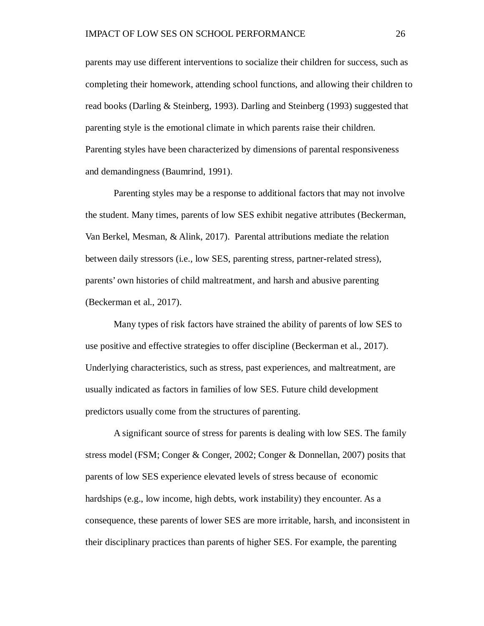parents may use different interventions to socialize their children for success, such as completing their homework, attending school functions, and allowing their children to read books (Darling & Steinberg, 1993). Darling and Steinberg (1993) suggested that parenting style is the emotional climate in which parents raise their children. Parenting styles have been characterized by dimensions of parental responsiveness and demandingness (Baumrind, 1991).

Parenting styles may be a response to additional factors that may not involve the student. Many times, parents of low SES exhibit negative attributes (Beckerman, Van Berkel, Mesman, & Alink, 2017). Parental attributions mediate the relation between daily stressors (i.e., low SES, parenting stress, partner**-**related stress), parents' own histories of child maltreatment, and harsh and abusive parenting (Beckerman et al., 2017).

Many types of risk factors have strained the ability of parents of low SES to use positive and effective strategies to offer discipline (Beckerman et al., 2017). Underlying characteristics, such as stress, past experiences, and maltreatment, are usually indicated as factors in families of low SES. Future child development predictors usually come from the structures of parenting.

A significant source of stress for parents is dealing with low SES. The family stress model (FSM; Conger & [Conger, 2002;](https://www-sciencedirect-com.ezproxy.pcom.edu/science/article/pii/S0145213416303258#bib0055) [Conger & Donnellan, 2007\)](https://www-sciencedirect-com.ezproxy.pcom.edu/science/article/pii/S0145213416303258#bib0060) posits that parents of low SES experience elevated levels of stress because of economic hardships (e.g., low income, high debts, work instability) they encounter. As a consequence, these parents of lower SES are more irritable, harsh, and inconsistent in their disciplinary practices than parents of higher SES. For example, the parenting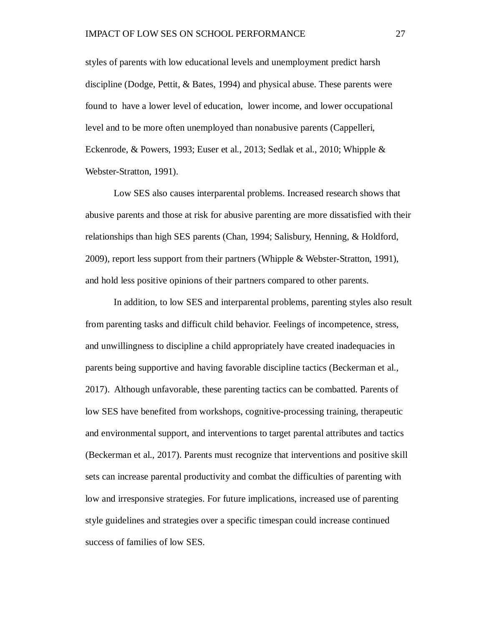styles of parents with low educational levels and unemployment predict harsh discipline [\(Dodge, Pettit, & Bates, 1994\)](https://www-sciencedirect-com.ezproxy.pcom.edu/science/article/pii/S0145213416303258#bib0095) and physical abuse. These parents were found to have a lower level of education, lower income, and lower occupational level and to be more often unemployed than nonabusive parents [\(Cappelleri,](https://www-sciencedirect-com.ezproxy.pcom.edu/science/article/pii/S0145213416303258#bib0030)  [Eckenrode, & Powers, 1993;](https://www-sciencedirect-com.ezproxy.pcom.edu/science/article/pii/S0145213416303258#bib0030) [Euser et al., 2013;](https://www-sciencedirect-com.ezproxy.pcom.edu/science/article/pii/S0145213416303258#bib0105) [Sedlak et al., 2010;](https://www-sciencedirect-com.ezproxy.pcom.edu/science/article/pii/S0145213416303258#bib0195) [Whipple &](https://www-sciencedirect-com.ezproxy.pcom.edu/science/article/pii/S0145213416303258#bib0240) [Webster-Stratton, 1991\)](https://www-sciencedirect-com.ezproxy.pcom.edu/science/article/pii/S0145213416303258#bib0240).

Low SES also causes interparental problems. Increased research shows that abusive parents and those at risk for abusive parenting are more dissatisfied with their relationships than high SES parents [\(Chan, 1994;](https://www-sciencedirect-com.ezproxy.pcom.edu/science/article/pii/S0145213416303258#bib0035) [Salisbury, Henning, & Holdford,](https://www-sciencedirect-com.ezproxy.pcom.edu/science/article/pii/S0145213416303258#bib0190)  [2009\)](https://www-sciencedirect-com.ezproxy.pcom.edu/science/article/pii/S0145213416303258#bib0190), report less support from their partners [\(Whipple & Webster-Stratton, 1991\)](https://www-sciencedirect-com.ezproxy.pcom.edu/science/article/pii/S0145213416303258#bib0240), and hold less positive opinions of their partners compared to other parents.

In addition, to low SES and interparental problems, parenting styles also result from parenting tasks and difficult child behavior. Feelings of incompetence, stress, and unwillingness to discipline a child appropriately have created inadequacies in parents being supportive and having favorable discipline tactics (Beckerman et al., 2017). Although unfavorable, these parenting tactics can be combatted. Parents of low SES have benefited from workshops, cognitive-processing training, therapeutic and environmental support, and interventions to target parental attributes and tactics (Beckerman et al., 2017). Parents must recognize that interventions and positive skill sets can increase parental productivity and combat the difficulties of parenting with low and irresponsive strategies. For future implications, increased use of parenting style guidelines and strategies over a specific timespan could increase continued success of families of low SES.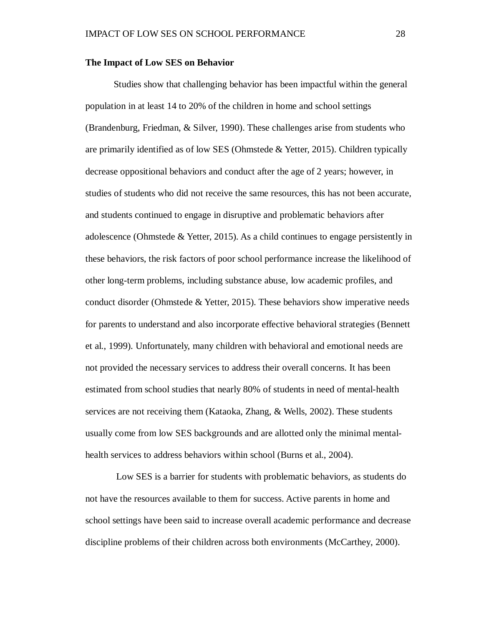## **The Impact of Low SES on Behavior**

Studies show that challenging behavior has been impactful within the general population in at least 14 to 20% of the children in home and school settings (Brandenburg, Friedman, & Silver, 1990). These challenges arise from students who are primarily identified as of low SES (Ohmstede & Yetter, 2015). Children typically decrease oppositional behaviors and conduct after the age of 2 years; however, in studies of students who did not receive the same resources, this has not been accurate, and students continued to engage in disruptive and problematic behaviors after adolescence (Ohmstede & Yetter, 2015). As a child continues to engage persistently in these behaviors, the risk factors of poor school performance increase the likelihood of other long-term problems, including substance abuse, low academic profiles, and conduct disorder (Ohmstede & Yetter, 2015). These behaviors show imperative needs for parents to understand and also incorporate effective behavioral strategies (Bennett et al., 1999). Unfortunately, many children with behavioral and emotional needs are not provided the necessary services to address their overall concerns. It has been estimated from school studies that nearly 80% of students in need of mental-health services are not receiving them (Kataoka, Zhang, & Wells, 2002). These students usually come from low SES backgrounds and are allotted only the minimal mentalhealth services to address behaviors within school (Burns et al., 2004).

Low SES is a barrier for students with problematic behaviors, as students do not have the resources available to them for success. Active parents in home and school settings have been said to increase overall academic performance and decrease discipline problems of their children across both environments (McCarthey, 2000).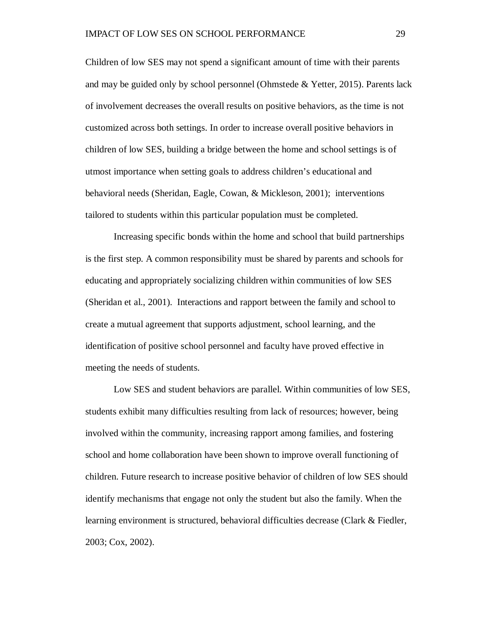Children of low SES may not spend a significant amount of time with their parents and may be guided only by school personnel (Ohmstede & Yetter, 2015). Parents lack of involvement decreases the overall results on positive behaviors, as the time is not customized across both settings. In order to increase overall positive behaviors in children of low SES, building a bridge between the home and school settings is of utmost importance when setting goals to address children's educational and behavioral needs (Sheridan, Eagle, Cowan, & Mickleson, 2001); interventions tailored to students within this particular population must be completed.

Increasing specific bonds within the home and school that build partnerships is the first step. A common responsibility must be shared by parents and schools for educating and appropriately socializing children within communities of low SES (Sheridan et al., 2001). Interactions and rapport between the family and school to create a mutual agreement that supports adjustment, school learning, and the identification of positive school personnel and faculty have proved effective in meeting the needs of students.

Low SES and student behaviors are parallel. Within communities of low SES, students exhibit many difficulties resulting from lack of resources; however, being involved within the community, increasing rapport among families, and fostering school and home collaboration have been shown to improve overall functioning of children. Future research to increase positive behavior of children of low SES should identify mechanisms that engage not only the student but also the family. When the learning environment is structured, behavioral difficulties decrease (Clark & Fiedler, 2003; Cox, 2002).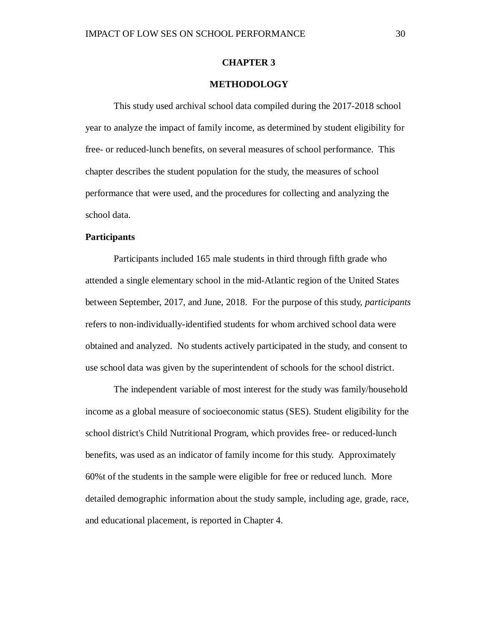#### **CHAPTER 3**

## **METHODOLOGY**

This study used archival school data compiled during the 2017-2018 school year to analyze the impact of family income, as determined by student eligibility for free- or reduced-lunch benefits, on several measures of school performance. This chapter describes the student population for the study, the measures of school performance that were used, and the procedures for collecting and analyzing the school data.

## **Participants**

Participants included 165 male students in third through fifth grade who attended a single elementary school in the mid-Atlantic region of the United States between September, 2017, and June, 2018. For the purpose of this study, *participants* refers to non-individually-identified students for whom archived school data were obtained and analyzed. No students actively participated in the study, and consent to use school data was given by the superintendent of schools for the school district.

The independent variable of most interest for the study was family/household income as a global measure of socioeconomic status (SES). Student eligibility for the school district's Child Nutritional Program, which provides free- or reduced-lunch benefits, was used as an indicator of family income for this study. Approximately 60%t of the students in the sample were eligible for free or reduced lunch. More detailed demographic information about the study sample, including age, grade, race, and educational placement, is reported in Chapter 4.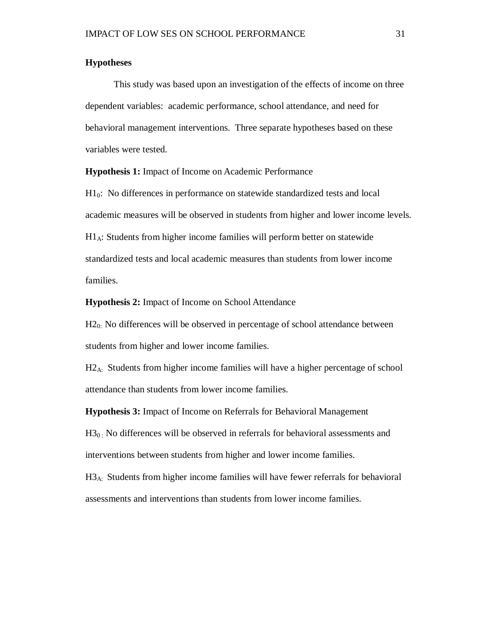## **Hypotheses**

This study was based upon an investigation of the effects of income on three dependent variables: academic performance, school attendance, and need for behavioral management interventions. Three separate hypotheses based on these variables were tested.

**Hypothesis 1:** Impact of Income on Academic Performance

H10: No differences in performance on statewide standardized tests and local academic measures will be observed in students from higher and lower income levels. H1A: Students from higher income families will perform better on statewide standardized tests and local academic measures than students from lower income families.

**Hypothesis 2:** Impact of Income on School Attendance

H<sub>20</sub>: No differences will be observed in percentage of school attendance between students from higher and lower income families.

H2A: Students from higher income families will have a higher percentage of school attendance than students from lower income families.

**Hypothesis 3:** Impact of Income on Referrals for Behavioral Management

 $H3<sub>0</sub>$ . No differences will be observed in referrals for behavioral assessments and interventions between students from higher and lower income families.

H3A: Students from higher income families will have fewer referrals for behavioral assessments and interventions than students from lower income families.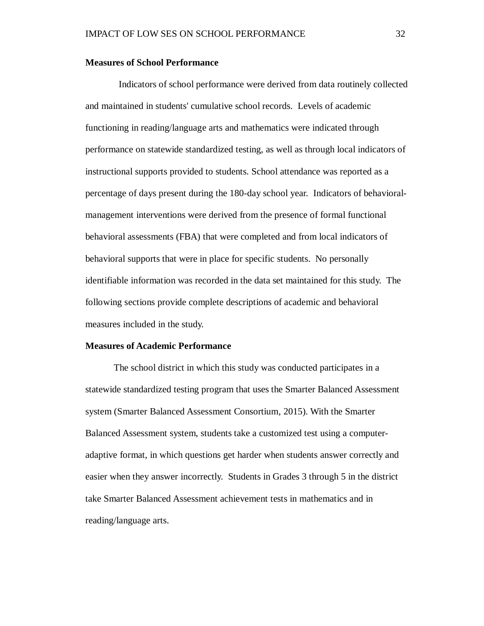## **Measures of School Performance**

 Indicators of school performance were derived from data routinely collected and maintained in students' cumulative school records. Levels of academic functioning in reading/language arts and mathematics were indicated through performance on statewide standardized testing, as well as through local indicators of instructional supports provided to students. School attendance was reported as a percentage of days present during the 180-day school year. Indicators of behavioralmanagement interventions were derived from the presence of formal functional behavioral assessments (FBA) that were completed and from local indicators of behavioral supports that were in place for specific students. No personally identifiable information was recorded in the data set maintained for this study. The following sections provide complete descriptions of academic and behavioral measures included in the study.

#### **Measures of Academic Performance**

The school district in which this study was conducted participates in a statewide standardized testing program that uses the Smarter Balanced Assessment system (Smarter Balanced Assessment Consortium, 2015). With the Smarter Balanced Assessment system, students take a customized test using a computeradaptive format, in which questions get harder when students answer correctly and easier when they answer incorrectly. Students in Grades 3 through 5 in the district take Smarter Balanced Assessment achievement tests in mathematics and in reading/language arts.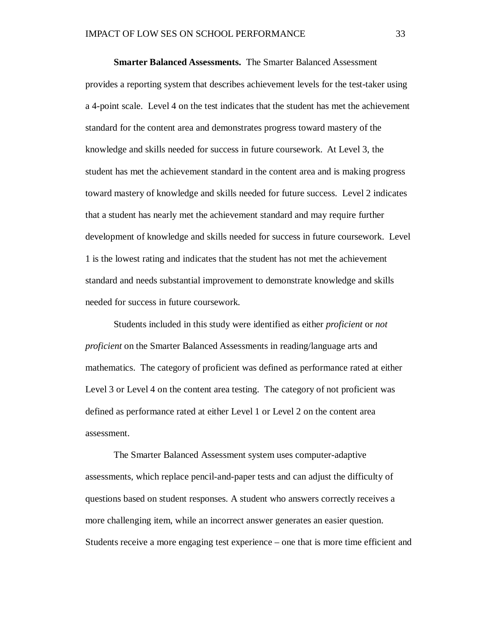**Smarter Balanced Assessments.** The Smarter Balanced Assessment provides a reporting system that describes achievement levels for the test-taker using a 4-point scale. Level 4 on the test indicates that the student has met the achievement standard for the content area and demonstrates progress toward mastery of the knowledge and skills needed for success in future coursework. At Level 3, the student has met the achievement standard in the content area and is making progress toward mastery of knowledge and skills needed for future success. Level 2 indicates that a student has nearly met the achievement standard and may require further development of knowledge and skills needed for success in future coursework. Level 1 is the lowest rating and indicates that the student has not met the achievement standard and needs substantial improvement to demonstrate knowledge and skills needed for success in future coursework.

Students included in this study were identified as either *proficient* or *not proficient* on the Smarter Balanced Assessments in reading/language arts and mathematics. The category of proficient was defined as performance rated at either Level 3 or Level 4 on the content area testing. The category of not proficient was defined as performance rated at either Level 1 or Level 2 on the content area assessment.

The Smarter Balanced Assessment system uses computer-adaptive assessments, which replace pencil-and-paper tests and can adjust the difficulty of questions based on student responses. A student who answers correctly receives a more challenging item, while an incorrect answer generates an easier question. Students receive a more engaging test experience – one that is more time efficient and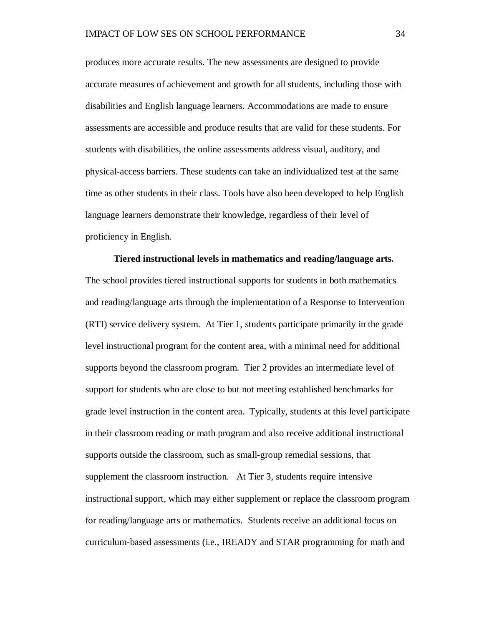produces more accurate results. The new assessments are designed to provide accurate measures of achievement and growth for all students, including those with disabilities and English language learners. Accommodations are made to ensure assessments are accessible and produce results that are valid for these students. For students with disabilities, the online assessments address visual, auditory, and physical-access barriers. These students can take an individualized test at the same time as other students in their class. Tools have also been developed to help English language learners demonstrate their knowledge, regardless of their level of proficiency in English.

**Tiered instructional levels in mathematics and reading/language arts.**  The school provides tiered instructional supports for students in both mathematics and reading/language arts through the implementation of a Response to Intervention (RTI) service delivery system. At Tier 1, students participate primarily in the grade level instructional program for the content area, with a minimal need for additional supports beyond the classroom program. Tier 2 provides an intermediate level of support for students who are close to but not meeting established benchmarks for grade level instruction in the content area. Typically, students at this level participate in their classroom reading or math program and also receive additional instructional supports outside the classroom, such as small-group remedial sessions, that supplement the classroom instruction. At Tier 3, students require intensive instructional support, which may either supplement or replace the classroom program for reading/language arts or mathematics. Students receive an additional focus on curriculum-based assessments (i.e., IREADY and STAR programming for math and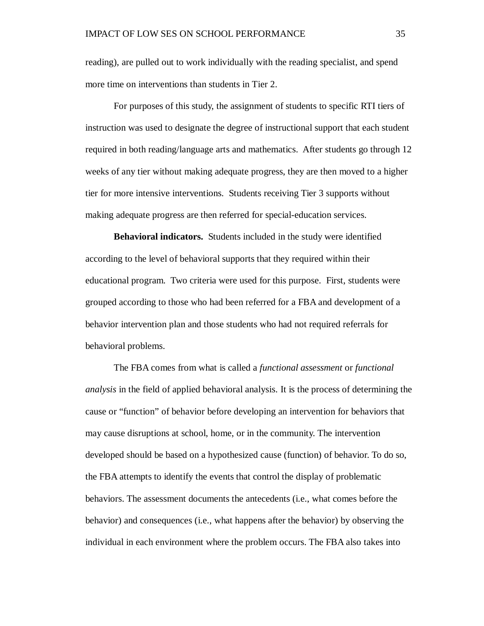reading), are pulled out to work individually with the reading specialist, and spend more time on interventions than students in Tier 2.

For purposes of this study, the assignment of students to specific RTI tiers of instruction was used to designate the degree of instructional support that each student required in both reading/language arts and mathematics. After students go through 12 weeks of any tier without making adequate progress, they are then moved to a higher tier for more intensive interventions. Students receiving Tier 3 supports without making adequate progress are then referred for special-education services.

**Behavioral indicators.** Students included in the study were identified according to the level of behavioral supports that they required within their educational program. Two criteria were used for this purpose. First, students were grouped according to those who had been referred for a FBA and development of a behavior intervention plan and those students who had not required referrals for behavioral problems.

The FBA comes from what is called a *functional assessment* or *functional analysis* in the field of applied behavioral analysis. It is the process of determining the cause or "function" of behavior before developing an intervention for behaviors that may cause disruptions at school, home, or in the community. The intervention developed should be based on a hypothesized cause (function) of behavior. To do so, the FBA attempts to identify the events that control the display of problematic behaviors. The assessment documents the antecedents (i.e., what comes before the behavior) and consequences (i.e., what happens after the behavior) by observing the individual in each environment where the problem occurs. The FBA also takes into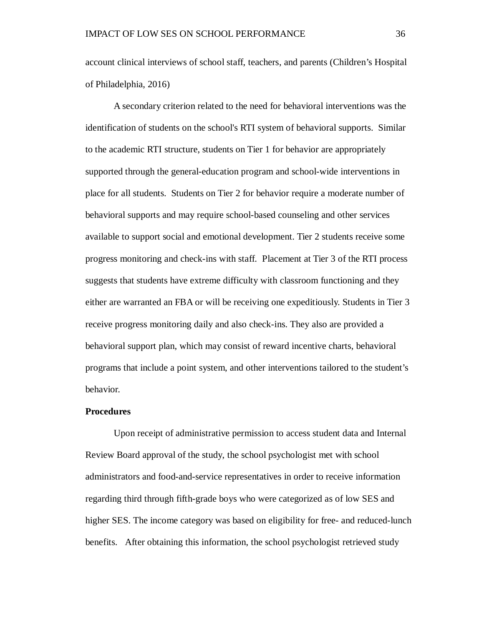account clinical interviews of school staff, teachers, and parents (Children's Hospital of Philadelphia, 2016)

A secondary criterion related to the need for behavioral interventions was the identification of students on the school's RTI system of behavioral supports. Similar to the academic RTI structure, students on Tier 1 for behavior are appropriately supported through the general-education program and school-wide interventions in place for all students. Students on Tier 2 for behavior require a moderate number of behavioral supports and may require school-based counseling and other services available to support social and emotional development. Tier 2 students receive some progress monitoring and check-ins with staff. Placement at Tier 3 of the RTI process suggests that students have extreme difficulty with classroom functioning and they either are warranted an FBA or will be receiving one expeditiously. Students in Tier 3 receive progress monitoring daily and also check-ins. They also are provided a behavioral support plan, which may consist of reward incentive charts, behavioral programs that include a point system, and other interventions tailored to the student's behavior.

#### **Procedures**

Upon receipt of administrative permission to access student data and Internal Review Board approval of the study, the school psychologist met with school administrators and food-and-service representatives in order to receive information regarding third through fifth-grade boys who were categorized as of low SES and higher SES. The income category was based on eligibility for free- and reduced-lunch benefits. After obtaining this information, the school psychologist retrieved study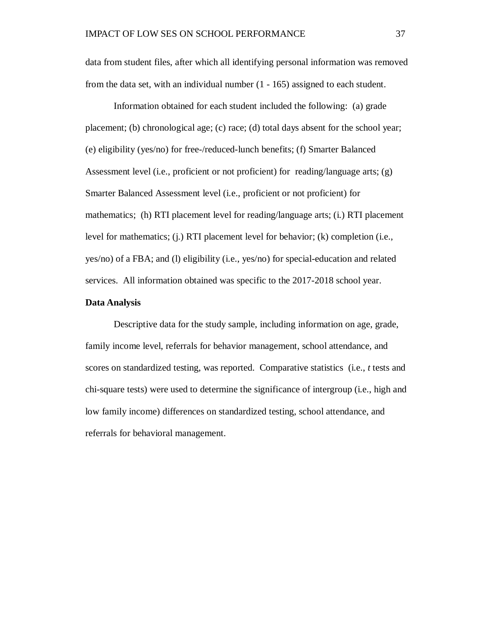data from student files, after which all identifying personal information was removed from the data set, with an individual number (1 - 165) assigned to each student.

Information obtained for each student included the following: (a) grade placement; (b) chronological age; (c) race; (d) total days absent for the school year; (e) eligibility (yes/no) for free-/reduced-lunch benefits; (f) Smarter Balanced Assessment level (i.e., proficient or not proficient) for reading/language arts; (g) Smarter Balanced Assessment level (i.e., proficient or not proficient) for mathematics; (h) RTI placement level for reading/language arts; (i.) RTI placement level for mathematics; (j.) RTI placement level for behavior; (k) completion (i.e., yes/no) of a FBA; and (l) eligibility (i.e., yes/no) for special-education and related services. All information obtained was specific to the 2017-2018 school year.

## **Data Analysis**

Descriptive data for the study sample, including information on age, grade, family income level, referrals for behavior management, school attendance, and scores on standardized testing, was reported. Comparative statistics (i.e., *t* tests and chi-square tests) were used to determine the significance of intergroup (i.e., high and low family income) differences on standardized testing, school attendance, and referrals for behavioral management.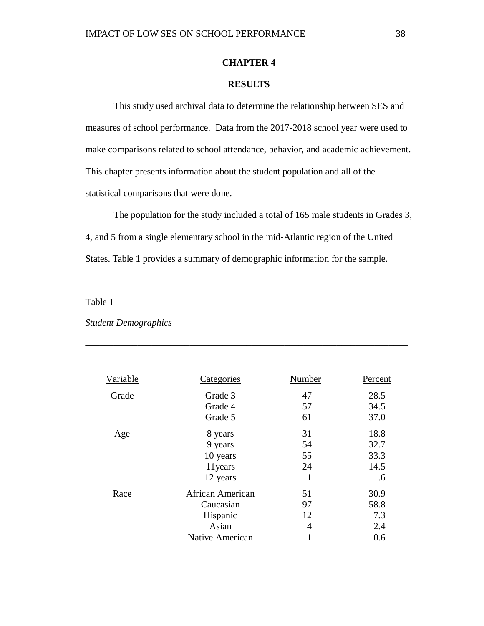# **CHAPTER 4**

## **RESULTS**

This study used archival data to determine the relationship between SES and measures of school performance. Data from the 2017-2018 school year were used to make comparisons related to school attendance, behavior, and academic achievement. This chapter presents information about the student population and all of the statistical comparisons that were done.

The population for the study included a total of 165 male students in Grades 3, 4, and 5 from a single elementary school in the mid-Atlantic region of the United States. Table 1 provides a summary of demographic information for the sample.

\_\_\_\_\_\_\_\_\_\_\_\_\_\_\_\_\_\_\_\_\_\_\_\_\_\_\_\_\_\_\_\_\_\_\_\_\_\_\_\_\_\_\_\_\_\_\_\_\_\_\_\_\_\_\_\_\_\_\_\_\_\_\_\_\_\_\_\_

Table 1

#### *Student Demographics*

| Variable | <b>Categories</b>      | <b>Number</b> | Percent |
|----------|------------------------|---------------|---------|
| Grade    | Grade 3                | 47            | 28.5    |
|          | Grade 4                | 57            | 34.5    |
|          | Grade 5                | 61            | 37.0    |
| Age      | 8 years                | 31            | 18.8    |
|          | 9 years                | 54            | 32.7    |
|          | 10 years               | 55            | 33.3    |
|          | 11 years               | 24            | 14.5    |
|          | 12 years               | 1             | .6      |
| Race     | African American       | 51            | 30.9    |
|          | Caucasian              | 97            | 58.8    |
|          | Hispanic               | 12            | 7.3     |
|          | Asian                  | 4             | 2.4     |
|          | <b>Native American</b> | 1             | 0.6     |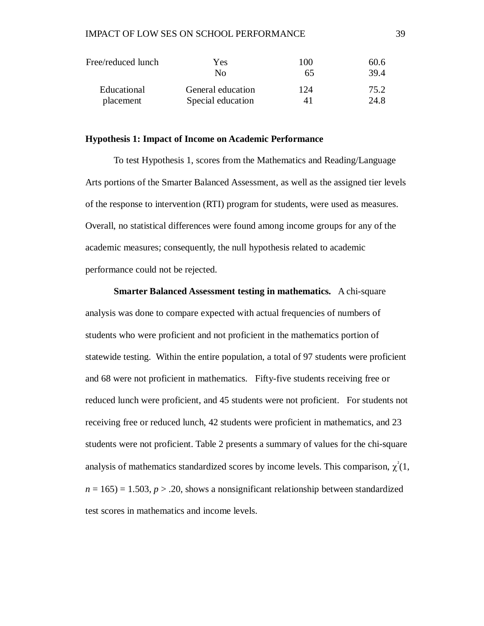| Free/reduced lunch | Yes               | 100 | 60.6 |
|--------------------|-------------------|-----|------|
|                    | Nο                | 65  | 39.4 |
| Educational        | General education | 124 | 75.2 |
| placement          | Special education | 41  | 24.8 |

#### **Hypothesis 1: Impact of Income on Academic Performance**

To test Hypothesis 1, scores from the Mathematics and Reading/Language Arts portions of the Smarter Balanced Assessment, as well as the assigned tier levels of the response to intervention (RTI) program for students, were used as measures. Overall, no statistical differences were found among income groups for any of the academic measures; consequently, the null hypothesis related to academic performance could not be rejected.

**Smarter Balanced Assessment testing in mathematics.** A chi-square analysis was done to compare expected with actual frequencies of numbers of students who were proficient and not proficient in the mathematics portion of statewide testing. Within the entire population, a total of 97 students were proficient and 68 were not proficient in mathematics. Fifty-five students receiving free or reduced lunch were proficient, and 45 students were not proficient. For students not receiving free or reduced lunch, 42 students were proficient in mathematics, and 23 students were not proficient. Table 2 presents a summary of values for the chi-square analysis of mathematics standardized scores by income levels. This comparison,  $\chi^2(1)$ ,  $n = 165$ ) = 1.503,  $p > 0.20$ , shows a nonsignificant relationship between standardized test scores in mathematics and income levels.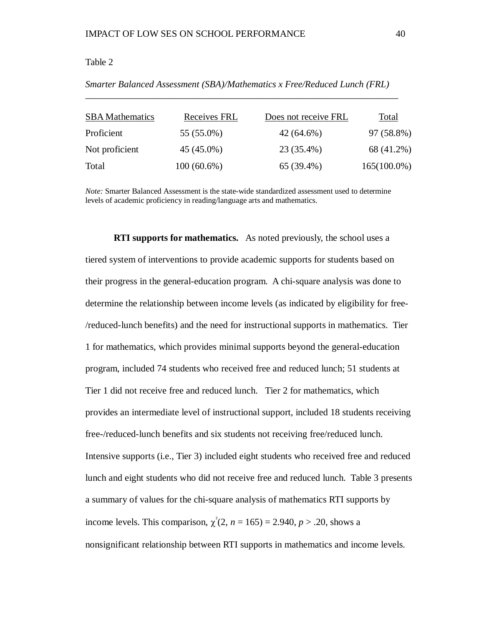| Smarter Balanced Assessment (SBA)/Mathematics x Free/Reduced Lunch (FRL) |  |  |  |
|--------------------------------------------------------------------------|--|--|--|
|--------------------------------------------------------------------------|--|--|--|

\_\_\_\_\_\_\_\_\_\_\_\_\_\_\_\_\_\_\_\_\_\_\_\_\_\_\_\_\_\_\_\_\_\_\_\_\_\_\_\_\_\_\_\_\_\_\_\_\_\_\_\_\_\_\_\_\_\_\_\_\_\_\_\_\_\_

| <b>SBA</b> Mathematics | Receives FRL  | Does not receive FRL | Total          |
|------------------------|---------------|----------------------|----------------|
| Proficient             | 55 (55.0%)    | $42(64.6\%)$         | 97 (58.8%)     |
| Not proficient         | 45 (45.0%)    | 23 (35.4%)           | 68 (41.2%)     |
| Total                  | $100(60.6\%)$ | 65 (39.4%)           | $165(100.0\%)$ |

*Note:* Smarter Balanced Assessment is the state-wide standardized assessment used to determine levels of academic proficiency in reading/language arts and mathematics.

**RTI supports for mathematics.** As noted previously, the school uses a tiered system of interventions to provide academic supports for students based on their progress in the general-education program. A chi-square analysis was done to determine the relationship between income levels (as indicated by eligibility for free- /reduced-lunch benefits) and the need for instructional supports in mathematics. Tier 1 for mathematics, which provides minimal supports beyond the general-education program, included 74 students who received free and reduced lunch; 51 students at Tier 1 did not receive free and reduced lunch. Tier 2 for mathematics, which provides an intermediate level of instructional support, included 18 students receiving free-/reduced-lunch benefits and six students not receiving free/reduced lunch. Intensive supports (i.e., Tier 3) included eight students who received free and reduced lunch and eight students who did not receive free and reduced lunch. Table 3 presents a summary of values for the chi-square analysis of mathematics RTI supports by income levels. This comparison,  $\chi^2(2, n = 165) = 2.940, p > .20$ , shows a nonsignificant relationship between RTI supports in mathematics and income levels.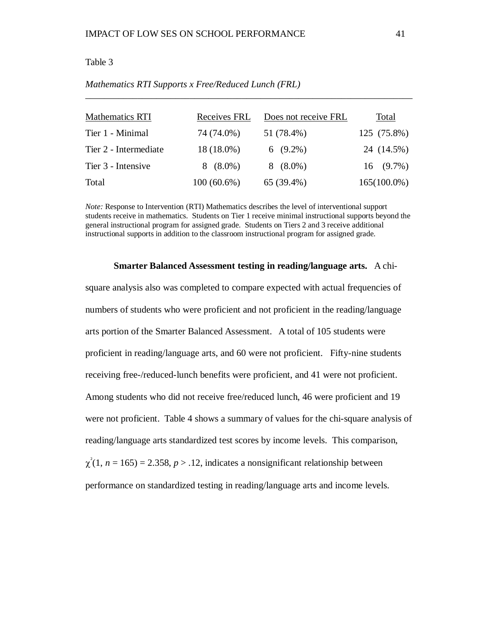## Table 3

| <b>Mathematics RTI</b> | Receives FRL  | Does not receive FRL | Total          |
|------------------------|---------------|----------------------|----------------|
| Tier 1 - Minimal       | 74 (74.0%)    | 51 (78.4%)           | 125 (75.8%)    |
| Tier 2 - Intermediate  | 18 (18.0%)    | 6 $(9.2\%)$          | 24 (14.5%)     |
| Tier 3 - Intensive     | $8(8.0\%)$    | $8(8.0\%)$           | $16(9.7\%)$    |
| Total                  | $100(60.6\%)$ | 65 (39.4%)           | $165(100.0\%)$ |

\_\_\_\_\_\_\_\_\_\_\_\_\_\_\_\_\_\_\_\_\_\_\_\_\_\_\_\_\_\_\_\_\_\_\_\_\_\_\_\_\_\_\_\_\_\_\_\_\_\_\_\_\_\_\_\_\_\_\_\_\_\_\_\_\_\_\_\_\_

## *Mathematics RTI Supports x Free/Reduced Lunch (FRL)*

*Note:* Response to Intervention (RTI) Mathematics describes the level of interventional support students receive in mathematics. Students on Tier 1 receive minimal instructional supports beyond the general instructional program for assigned grade. Students on Tiers 2 and 3 receive additional instructional supports in addition to the classroom instructional program for assigned grade.

#### **Smarter Balanced Assessment testing in reading/language arts.** A chi-

square analysis also was completed to compare expected with actual frequencies of numbers of students who were proficient and not proficient in the reading/language arts portion of the Smarter Balanced Assessment. A total of 105 students were proficient in reading/language arts, and 60 were not proficient. Fifty-nine students receiving free-/reduced-lunch benefits were proficient, and 41 were not proficient. Among students who did not receive free/reduced lunch, 46 were proficient and 19 were not proficient. Table 4 shows a summary of values for the chi-square analysis of reading/language arts standardized test scores by income levels. This comparison,  $\chi^2(1, n = 165) = 2.358, p > .12$ , indicates a nonsignificant relationship between performance on standardized testing in reading/language arts and income levels.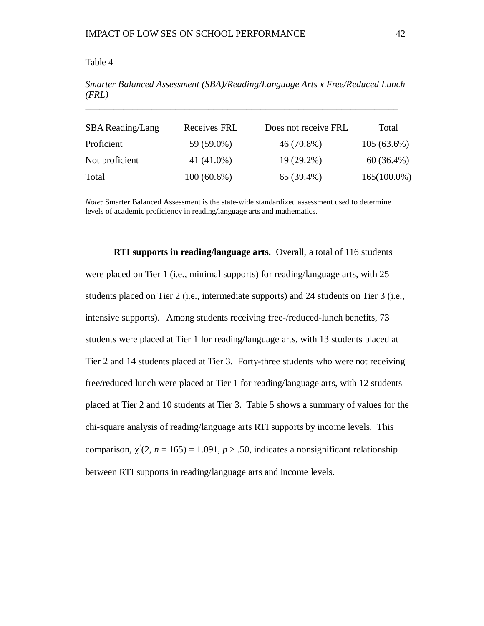*Smarter Balanced Assessment (SBA)/Reading/Language Arts x Free/Reduced Lunch (FRL)*

\_\_\_\_\_\_\_\_\_\_\_\_\_\_\_\_\_\_\_\_\_\_\_\_\_\_\_\_\_\_\_\_\_\_\_\_\_\_\_\_\_\_\_\_\_\_\_\_\_\_\_\_\_\_\_\_\_\_\_\_\_\_\_\_\_\_

| <b>SBA</b> Reading/Lang | <b>Receives FRL</b> | Does not receive FRL | Total          |
|-------------------------|---------------------|----------------------|----------------|
| Proficient              | 59 (59.0%)          | 46 (70.8%)           | $105(63.6\%)$  |
| Not proficient          | 41 (41.0%)          | 19 (29.2%)           | $60(36.4\%)$   |
| Total                   | $100(60.6\%)$       | $65(39.4\%)$         | $165(100.0\%)$ |

*Note:* Smarter Balanced Assessment is the state-wide standardized assessment used to determine levels of academic proficiency in reading/language arts and mathematics.

**RTI supports in reading/language arts.** Overall, a total of 116 students were placed on Tier 1 (i.e., minimal supports) for reading/language arts, with 25 students placed on Tier 2 (i.e., intermediate supports) and 24 students on Tier 3 (i.e., intensive supports). Among students receiving free-/reduced-lunch benefits, 73 students were placed at Tier 1 for reading/language arts, with 13 students placed at Tier 2 and 14 students placed at Tier 3. Forty-three students who were not receiving free/reduced lunch were placed at Tier 1 for reading/language arts, with 12 students placed at Tier 2 and 10 students at Tier 3. Table 5 shows a summary of values for the chi-square analysis of reading/language arts RTI supports by income levels. This comparison,  $\chi^2(2, n = 165) = 1.091, p > .50$ , indicates a nonsignificant relationship between RTI supports in reading/language arts and income levels.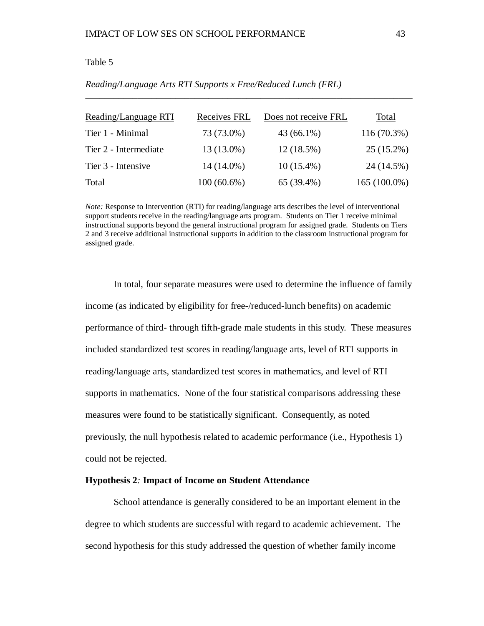## Table 5

| Reading/Language RTI  | Receives FRL  | Does not receive FRL | Total          |
|-----------------------|---------------|----------------------|----------------|
| Tier 1 - Minimal      | 73 (73.0%)    | $43(66.1\%)$         | $116(70.3\%)$  |
| Tier 2 - Intermediate | 13 (13.0%)    | $12(18.5\%)$         | $25(15.2\%)$   |
| Tier 3 - Intensive    | 14 (14.0%)    | $10(15.4\%)$         | 24 (14.5%)     |
| Total                 | $100(60.6\%)$ | 65 (39.4%)           | $165(100.0\%)$ |

\_\_\_\_\_\_\_\_\_\_\_\_\_\_\_\_\_\_\_\_\_\_\_\_\_\_\_\_\_\_\_\_\_\_\_\_\_\_\_\_\_\_\_\_\_\_\_\_\_\_\_\_\_\_\_\_\_\_\_\_\_\_\_\_\_\_\_\_\_

## *Reading/Language Arts RTI Supports x Free/Reduced Lunch (FRL)*

*Note:* Response to Intervention (RTI) for reading/language arts describes the level of interventional support students receive in the reading/language arts program. Students on Tier 1 receive minimal instructional supports beyond the general instructional program for assigned grade. Students on Tiers 2 and 3 receive additional instructional supports in addition to the classroom instructional program for assigned grade.

In total, four separate measures were used to determine the influence of family income (as indicated by eligibility for free-/reduced-lunch benefits) on academic performance of third- through fifth-grade male students in this study. These measures included standardized test scores in reading/language arts, level of RTI supports in reading/language arts, standardized test scores in mathematics, and level of RTI supports in mathematics. None of the four statistical comparisons addressing these measures were found to be statistically significant. Consequently, as noted previously, the null hypothesis related to academic performance (i.e., Hypothesis 1) could not be rejected.

## **Hypothesis 2***:* **Impact of Income on Student Attendance**

School attendance is generally considered to be an important element in the degree to which students are successful with regard to academic achievement. The second hypothesis for this study addressed the question of whether family income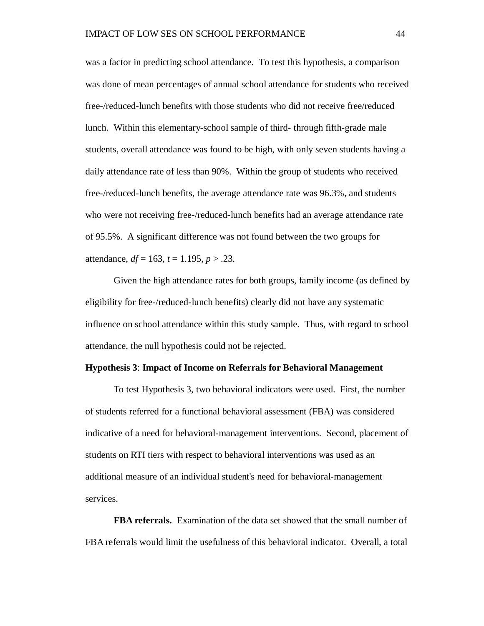was a factor in predicting school attendance. To test this hypothesis, a comparison was done of mean percentages of annual school attendance for students who received free-/reduced-lunch benefits with those students who did not receive free/reduced lunch. Within this elementary-school sample of third- through fifth-grade male students, overall attendance was found to be high, with only seven students having a daily attendance rate of less than 90%. Within the group of students who received free-/reduced-lunch benefits, the average attendance rate was 96.3%, and students who were not receiving free-/reduced-lunch benefits had an average attendance rate of 95.5%. A significant difference was not found between the two groups for attendance,  $df = 163$ ,  $t = 1.195$ ,  $p > .23$ .

Given the high attendance rates for both groups, family income (as defined by eligibility for free-/reduced-lunch benefits) clearly did not have any systematic influence on school attendance within this study sample. Thus, with regard to school attendance, the null hypothesis could not be rejected.

#### **Hypothesis 3**: **Impact of Income on Referrals for Behavioral Management**

To test Hypothesis 3, two behavioral indicators were used. First, the number of students referred for a functional behavioral assessment (FBA) was considered indicative of a need for behavioral-management interventions. Second, placement of students on RTI tiers with respect to behavioral interventions was used as an additional measure of an individual student's need for behavioral-management services.

**FBA referrals.** Examination of the data set showed that the small number of FBA referrals would limit the usefulness of this behavioral indicator. Overall, a total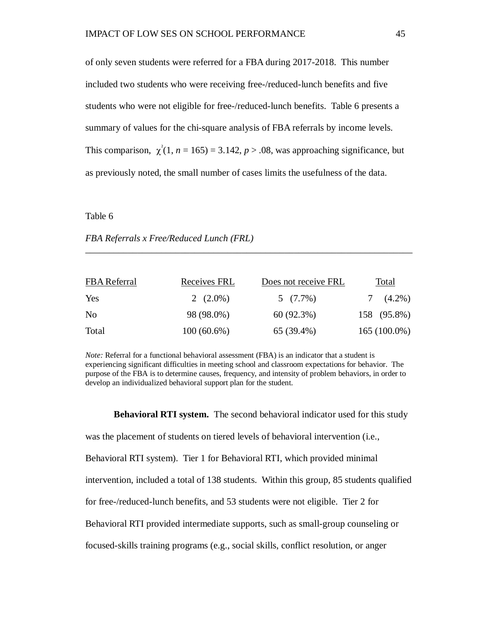of only seven students were referred for a FBA during 2017-2018. This number included two students who were receiving free-/reduced-lunch benefits and five students who were not eligible for free-/reduced-lunch benefits. Table 6 presents a summary of values for the chi-square analysis of FBA referrals by income levels. This comparison,  $\chi^2(1, n = 165) = 3.142$ ,  $p > .08$ , was approaching significance, but as previously noted, the small number of cases limits the usefulness of the data.

## Table 6

#### *FBA Referrals x Free/Reduced Lunch (FRL)*

| FBA Referral   | Receives FRL  | Does not receive FRL | Total          |
|----------------|---------------|----------------------|----------------|
| Yes            | 2 $(2.0\%)$   | $5(7.7\%)$           | $7(4.2\%)$     |
| N <sub>0</sub> | 98 (98.0%)    | 60(92.3%)            | 158 (95.8%)    |
| Total          | $100(60.6\%)$ | 65 (39.4%)           | $165(100.0\%)$ |

\_\_\_\_\_\_\_\_\_\_\_\_\_\_\_\_\_\_\_\_\_\_\_\_\_\_\_\_\_\_\_\_\_\_\_\_\_\_\_\_\_\_\_\_\_\_\_\_\_\_\_\_\_\_\_\_\_\_\_\_\_\_\_\_\_\_\_\_\_

*Note:* Referral for a functional behavioral assessment (FBA) is an indicator that a student is experiencing significant difficulties in meeting school and classroom expectations for behavior. The purpose of the FBA is to determine causes, frequency, and intensity of problem behaviors, in order to develop an individualized behavioral support plan for the student.

**Behavioral RTI system.** The second behavioral indicator used for this study was the placement of students on tiered levels of behavioral intervention (i.e., Behavioral RTI system). Tier 1 for Behavioral RTI, which provided minimal intervention, included a total of 138 students. Within this group, 85 students qualified for free-/reduced-lunch benefits, and 53 students were not eligible. Tier 2 for Behavioral RTI provided intermediate supports, such as small-group counseling or focused-skills training programs (e.g., social skills, conflict resolution, or anger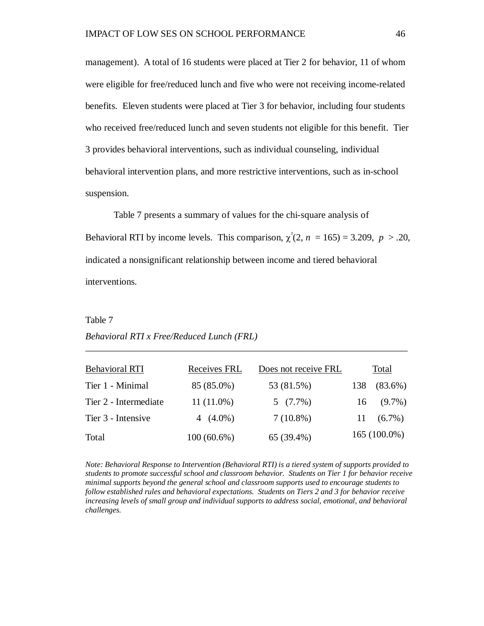management). A total of 16 students were placed at Tier 2 for behavior, 11 of whom were eligible for free/reduced lunch and five who were not receiving income-related benefits. Eleven students were placed at Tier 3 for behavior, including four students who received free/reduced lunch and seven students not eligible for this benefit. Tier 3 provides behavioral interventions, such as individual counseling, individual behavioral intervention plans, and more restrictive interventions, such as in-school suspension.

Table 7 presents a summary of values for the chi-square analysis of Behavioral RTI by income levels. This comparison,  $\chi^2(2, n = 165) = 3.209$ ,  $p > .20$ , indicated a nonsignificant relationship between income and tiered behavioral interventions.

# Table 7 *Behavioral RTI x Free/Reduced Lunch (FRL)*

| Behavioral RTI        | Receives FRL  | Does not receive FRL |     | Total          |
|-----------------------|---------------|----------------------|-----|----------------|
| Tier 1 - Minimal      | 85 (85.0%)    | 53 (81.5%)           | 138 | $(83.6\%)$     |
| Tier 2 - Intermediate | $11(11.0\%)$  | $5(7.7\%)$           |     | $16(9.7\%)$    |
| Tier 3 - Intensive    | 4 $(4.0\%)$   | $7(10.8\%)$          | 11  | $(6.7\%)$      |
| Total                 | $100(60.6\%)$ | 65 (39.4%)           |     | $165(100.0\%)$ |

*\_\_\_\_\_\_\_\_\_\_\_\_\_\_\_\_\_\_\_\_\_\_\_\_\_\_\_\_\_\_\_\_\_\_\_\_\_\_\_\_\_\_\_\_\_\_\_\_\_\_\_\_\_\_\_\_\_\_\_\_\_\_\_\_\_\_\_\_*

*Note: Behavioral Response to Intervention (Behavioral RTI) is a tiered system of supports provided to students to promote successful school and classroom behavior. Students on Tier 1 for behavior receive minimal supports beyond the general school and classroom supports used to encourage students to follow established rules and behavioral expectations. Students on Tiers 2 and 3 for behavior receive increasing levels of small group and individual supports to address social, emotional, and behavioral challenges.*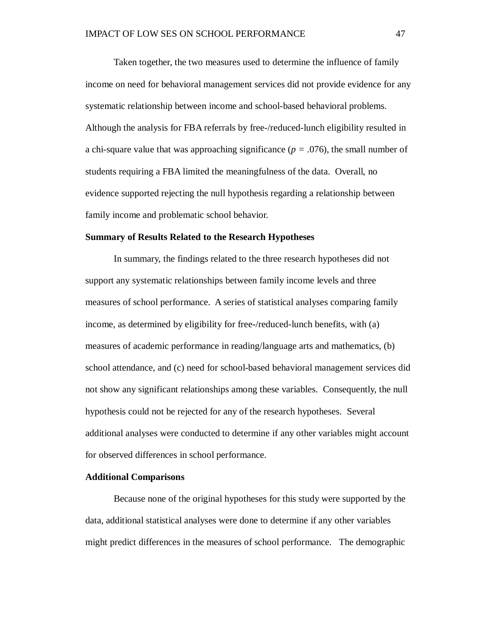Taken together, the two measures used to determine the influence of family income on need for behavioral management services did not provide evidence for any systematic relationship between income and school-based behavioral problems. Although the analysis for FBA referrals by free-/reduced-lunch eligibility resulted in a chi-square value that was approaching significance ( $p = .076$ ), the small number of students requiring a FBA limited the meaningfulness of the data. Overall, no evidence supported rejecting the null hypothesis regarding a relationship between family income and problematic school behavior.

#### **Summary of Results Related to the Research Hypotheses**

In summary, the findings related to the three research hypotheses did not support any systematic relationships between family income levels and three measures of school performance. A series of statistical analyses comparing family income, as determined by eligibility for free-/reduced-lunch benefits, with (a) measures of academic performance in reading/language arts and mathematics, (b) school attendance, and (c) need for school-based behavioral management services did not show any significant relationships among these variables. Consequently, the null hypothesis could not be rejected for any of the research hypotheses. Several additional analyses were conducted to determine if any other variables might account for observed differences in school performance.

## **Additional Comparisons**

Because none of the original hypotheses for this study were supported by the data, additional statistical analyses were done to determine if any other variables might predict differences in the measures of school performance. The demographic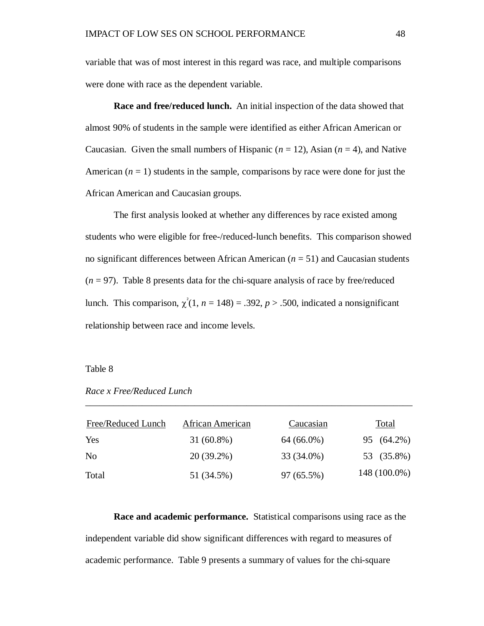variable that was of most interest in this regard was race, and multiple comparisons were done with race as the dependent variable.

**Race and free/reduced lunch.** An initial inspection of the data showed that almost 90% of students in the sample were identified as either African American or Caucasian. Given the small numbers of Hispanic  $(n = 12)$ , Asian  $(n = 4)$ , and Native American  $(n = 1)$  students in the sample, comparisons by race were done for just the African American and Caucasian groups.

The first analysis looked at whether any differences by race existed among students who were eligible for free-/reduced-lunch benefits. This comparison showed no significant differences between African American (*n* = 51) and Caucasian students  $(n = 97)$ . Table 8 presents data for the chi-square analysis of race by free/reduced lunch. This comparison,  $\chi^2(1, n = 148) = .392$ ,  $p > .500$ , indicated a nonsignificant relationship between race and income levels.

#### Table 8

| Free/Reduced Lunch | African American | Caucasian  | Total        |
|--------------------|------------------|------------|--------------|
| Yes                | $31(60.8\%)$     | 64 (66.0%) | 95 (64.2%)   |
| N <sub>0</sub>     | $20(39.2\%)$     | 33 (34.0%) | 53 (35.8%)   |
| Total              | 51 (34.5%)       | 97 (65.5%) | 148 (100.0%) |

\_\_\_\_\_\_\_\_\_\_\_\_\_\_\_\_\_\_\_\_\_\_\_\_\_\_\_\_\_\_\_\_\_\_\_\_\_\_\_\_\_\_\_\_\_\_\_\_\_\_\_\_\_\_\_\_\_\_\_\_\_\_\_\_\_\_\_\_\_

**Race and academic performance.** Statistical comparisons using race as the independent variable did show significant differences with regard to measures of academic performance. Table 9 presents a summary of values for the chi-square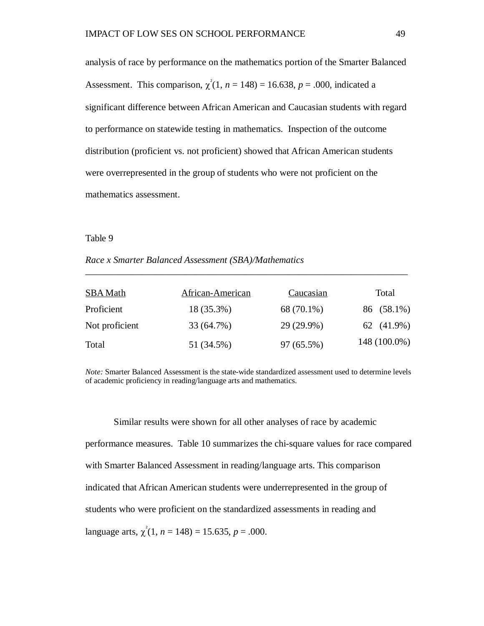analysis of race by performance on the mathematics portion of the Smarter Balanced Assessment. This comparison,  $\chi^2(1, n = 148) = 16.638$ ,  $p = .000$ , indicated a significant difference between African American and Caucasian students with regard to performance on statewide testing in mathematics. Inspection of the outcome distribution (proficient vs. not proficient) showed that African American students were overrepresented in the group of students who were not proficient on the mathematics assessment.

#### Table 9

#### *Race x Smarter Balanced Assessment (SBA)/Mathematics*

| SBA Math       | African-American | Caucasian  | Total        |
|----------------|------------------|------------|--------------|
| Proficient     | $18(35.3\%)$     | 68 (70.1%) | 86 (58.1%)   |
| Not proficient | 33 (64.7%)       | 29 (29.9%) | 62 (41.9%)   |
| Total          | 51 (34.5%)       | 97 (65.5%) | 148 (100.0%) |

\_\_\_\_\_\_\_\_\_\_\_\_\_\_\_\_\_\_\_\_\_\_\_\_\_\_\_\_\_\_\_\_\_\_\_\_\_\_\_\_\_\_\_\_\_\_\_\_\_\_\_\_\_\_\_\_\_\_\_\_\_\_\_\_\_\_\_\_

*Note:* Smarter Balanced Assessment is the state-wide standardized assessment used to determine levels of academic proficiency in reading/language arts and mathematics.

Similar results were shown for all other analyses of race by academic performance measures. Table 10 summarizes the chi-square values for race compared with Smarter Balanced Assessment in reading/language arts. This comparison indicated that African American students were underrepresented in the group of students who were proficient on the standardized assessments in reading and language arts,  $\chi^2(1, n = 148) = 15.635, p = .000$ .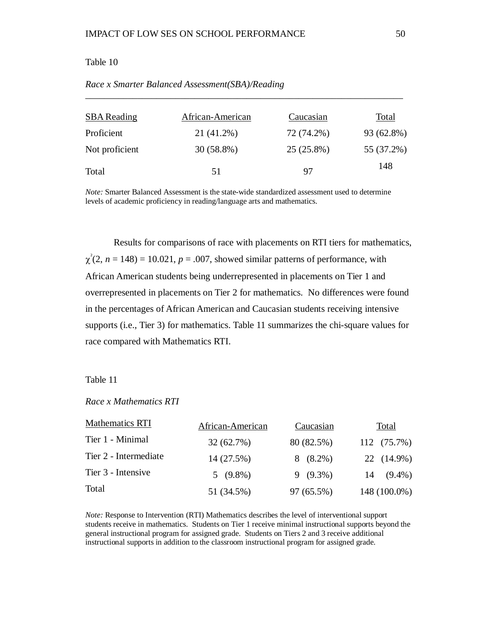## Table 10

| <b>SBA</b> Reading | African-American | Caucasian  | Total      |
|--------------------|------------------|------------|------------|
| Proficient         | 21 (41.2%)       | 72 (74.2%) | 93 (62.8%) |
| Not proficient     | $30(58.8\%)$     | 25 (25.8%) | 55 (37.2%) |
| Total              | 51               | 97         | 148        |

\_\_\_\_\_\_\_\_\_\_\_\_\_\_\_\_\_\_\_\_\_\_\_\_\_\_\_\_\_\_\_\_\_\_\_\_\_\_\_\_\_\_\_\_\_\_\_\_\_\_\_\_\_\_\_\_\_\_\_\_\_\_\_\_\_\_\_

## *Race x Smarter Balanced Assessment(SBA)/Reading*

*Note:* Smarter Balanced Assessment is the state-wide standardized assessment used to determine levels of academic proficiency in reading/language arts and mathematics.

Results for comparisons of race with placements on RTI tiers for mathematics,  $\chi^2(2, n = 148) = 10.021$ ,  $p = .007$ , showed similar patterns of performance, with African American students being underrepresented in placements on Tier 1 and overrepresented in placements on Tier 2 for mathematics. No differences were found in the percentages of African American and Caucasian students receiving intensive supports (i.e., Tier 3) for mathematics. Table 11 summarizes the chi-square values for race compared with Mathematics RTI.

#### Table 11

# *Race x Mathematics RTI*

| Mathematics RTI       | African-American | Caucasian  | Total        |
|-----------------------|------------------|------------|--------------|
| Tier 1 - Minimal      | 32(62.7%)        | 80 (82.5%) | 112 (75.7%)  |
| Tier 2 - Intermediate | 14 (27.5%)       | $8(8.2\%)$ | 22 (14.9%)   |
| Tier 3 - Intensive    | $5(9.8\%)$       | $9(9.3\%)$ | $14(9.4\%)$  |
| Total                 | 51 (34.5%)       | 97 (65.5%) | 148 (100.0%) |

*Note:* Response to Intervention (RTI) Mathematics describes the level of interventional support students receive in mathematics. Students on Tier 1 receive minimal instructional supports beyond the general instructional program for assigned grade. Students on Tiers 2 and 3 receive additional instructional supports in addition to the classroom instructional program for assigned grade.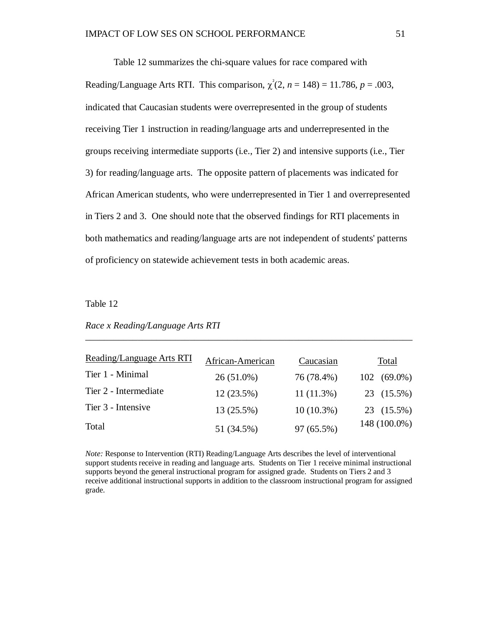Table 12 summarizes the chi-square values for race compared with Reading/Language Arts RTI. This comparison,  $\chi^2(2, n = 148) = 11.786$ ,  $p = .003$ , indicated that Caucasian students were overrepresented in the group of students receiving Tier 1 instruction in reading/language arts and underrepresented in the groups receiving intermediate supports (i.e., Tier 2) and intensive supports (i.e., Tier 3) for reading/language arts. The opposite pattern of placements was indicated for African American students, who were underrepresented in Tier 1 and overrepresented in Tiers 2 and 3. One should note that the observed findings for RTI placements in both mathematics and reading/language arts are not independent of students' patterns of proficiency on statewide achievement tests in both academic areas.

## Table 12

#### *Race x Reading/Language Arts RTI*

| Reading/Language Arts RTI | African-American | Caucasian    | Total          |
|---------------------------|------------------|--------------|----------------|
| Tier 1 - Minimal          | $26(51.0\%)$     | 76 (78.4%)   | $102 (69.0\%)$ |
| Tier 2 - Intermediate     | $12(23.5\%)$     | $11(11.3\%)$ | 23 (15.5%)     |
| Tier 3 - Intensive        | 13(25.5%)        | $10(10.3\%)$ | 23 (15.5%)     |
| Total                     | 51 (34.5%)       | 97 (65.5%)   | 148 (100.0%)   |

*\_\_\_\_\_\_\_\_\_\_\_\_\_\_\_\_\_\_\_\_\_\_\_\_\_\_\_\_\_\_\_\_\_\_\_\_\_\_\_\_\_\_\_\_\_\_\_\_\_\_\_\_\_\_\_\_\_\_\_\_\_\_\_\_\_\_\_\_\_*

*Note:* Response to Intervention (RTI) Reading/Language Arts describes the level of interventional support students receive in reading and language arts. Students on Tier 1 receive minimal instructional supports beyond the general instructional program for assigned grade. Students on Tiers 2 and 3 receive additional instructional supports in addition to the classroom instructional program for assigned grade.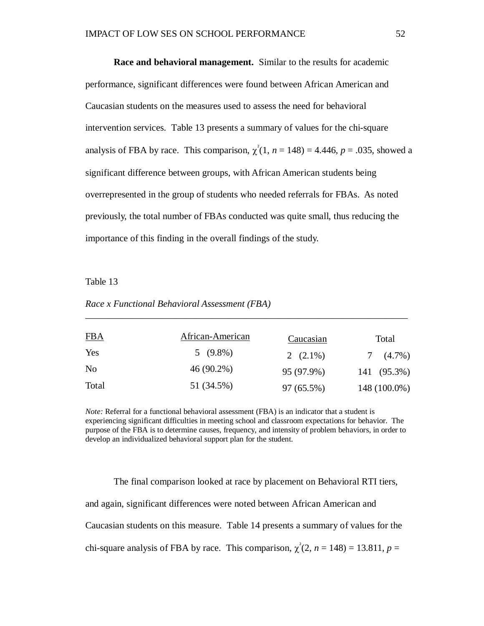**Race and behavioral management.** Similar to the results for academic performance, significant differences were found between African American and Caucasian students on the measures used to assess the need for behavioral intervention services. Table 13 presents a summary of values for the chi-square analysis of FBA by race. This comparison,  $\chi^2(1, n = 148) = 4.446$ ,  $p = .035$ , showed a significant difference between groups, with African American students being overrepresented in the group of students who needed referrals for FBAs. As noted previously, the total number of FBAs conducted was quite small, thus reducing the importance of this finding in the overall findings of the study.

Table 13

#### *Race x Functional Behavioral Assessment (FBA)*

| <u>FBA</u>     | African-American | Caucasian   | Total        |
|----------------|------------------|-------------|--------------|
| Yes            | $5(9.8\%)$       | 2 $(2.1\%)$ | $7(4.7\%)$   |
| N <sub>0</sub> | 46 (90.2%)       | 95 (97.9%)  | 141 (95.3%)  |
| Total          | 51 (34.5%)       | 97 (65.5%)  | 148 (100.0%) |

*\_\_\_\_\_\_\_\_\_\_\_\_\_\_\_\_\_\_\_\_\_\_\_\_\_\_\_\_\_\_\_\_\_\_\_\_\_\_\_\_\_\_\_\_\_\_\_\_\_\_\_\_\_\_\_\_\_\_\_\_\_\_\_\_\_\_\_\_*

*Note:* Referral for a functional behavioral assessment (FBA) is an indicator that a student is experiencing significant difficulties in meeting school and classroom expectations for behavior. The purpose of the FBA is to determine causes, frequency, and intensity of problem behaviors, in order to develop an individualized behavioral support plan for the student.

The final comparison looked at race by placement on Behavioral RTI tiers, and again, significant differences were noted between African American and Caucasian students on this measure. Table 14 presents a summary of values for the chi-square analysis of FBA by race. This comparison,  $\chi^2(2, n = 148) = 13.811$ ,  $p =$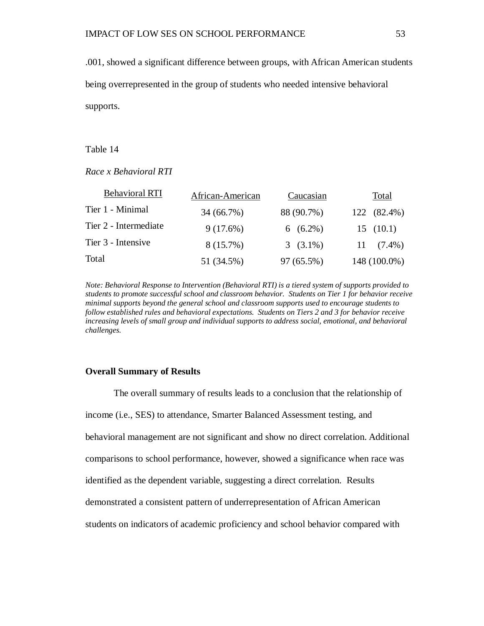.001, showed a significant difference between groups, with African American students being overrepresented in the group of students who needed intensive behavioral supports.

#### Table 14

*Race x Behavioral RTI*

| <b>Behavioral RTI</b> | African-American | Caucasian  | Total            |
|-----------------------|------------------|------------|------------------|
| Tier 1 - Minimal      | 34 (66.7%)       | 88 (90.7%) | 122 (82.4%)      |
| Tier 2 - Intermediate | 9(17.6%)         | $6(6.2\%)$ | 15(10.1)         |
| Tier 3 - Intensive    | $8(15.7\%)$      | $3(3.1\%)$ | $(7.4\%)$<br>11. |
| Total                 | 51 (34.5%)       | 97 (65.5%) | 148 (100.0%)     |

*Note: Behavioral Response to Intervention (Behavioral RTI) is a tiered system of supports provided to students to promote successful school and classroom behavior. Students on Tier 1 for behavior receive minimal supports beyond the general school and classroom supports used to encourage students to follow established rules and behavioral expectations. Students on Tiers 2 and 3 for behavior receive increasing levels of small group and individual supports to address social, emotional, and behavioral challenges.*

## **Overall Summary of Results**

The overall summary of results leads to a conclusion that the relationship of income (i.e., SES) to attendance, Smarter Balanced Assessment testing, and behavioral management are not significant and show no direct correlation. Additional comparisons to school performance, however, showed a significance when race was identified as the dependent variable, suggesting a direct correlation. Results demonstrated a consistent pattern of underrepresentation of African American students on indicators of academic proficiency and school behavior compared with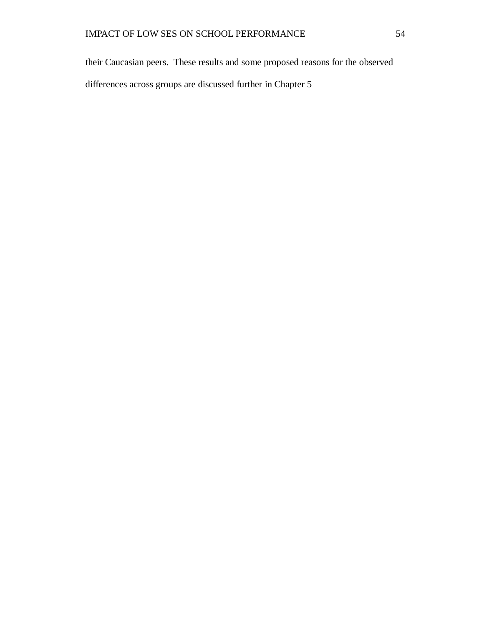their Caucasian peers. These results and some proposed reasons for the observed differences across groups are discussed further in Chapter 5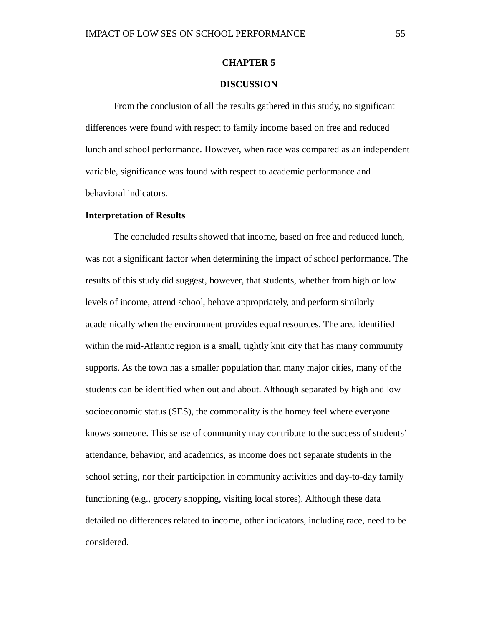## **CHAPTER 5**

## **DISCUSSION**

From the conclusion of all the results gathered in this study, no significant differences were found with respect to family income based on free and reduced lunch and school performance. However, when race was compared as an independent variable, significance was found with respect to academic performance and behavioral indicators.

#### **Interpretation of Results**

The concluded results showed that income, based on free and reduced lunch, was not a significant factor when determining the impact of school performance. The results of this study did suggest, however, that students, whether from high or low levels of income, attend school, behave appropriately, and perform similarly academically when the environment provides equal resources. The area identified within the mid-Atlantic region is a small, tightly knit city that has many community supports. As the town has a smaller population than many major cities, many of the students can be identified when out and about. Although separated by high and low socioeconomic status (SES), the commonality is the homey feel where everyone knows someone. This sense of community may contribute to the success of students' attendance, behavior, and academics, as income does not separate students in the school setting, nor their participation in community activities and day-to-day family functioning (e.g., grocery shopping, visiting local stores). Although these data detailed no differences related to income, other indicators, including race, need to be considered.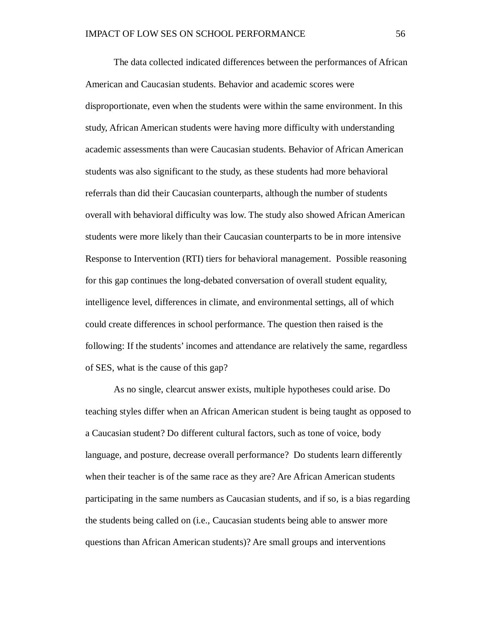The data collected indicated differences between the performances of African American and Caucasian students. Behavior and academic scores were disproportionate, even when the students were within the same environment. In this study, African American students were having more difficulty with understanding academic assessments than were Caucasian students. Behavior of African American students was also significant to the study, as these students had more behavioral referrals than did their Caucasian counterparts, although the number of students overall with behavioral difficulty was low. The study also showed African American students were more likely than their Caucasian counterparts to be in more intensive Response to Intervention (RTI) tiers for behavioral management. Possible reasoning for this gap continues the long-debated conversation of overall student equality, intelligence level, differences in climate, and environmental settings, all of which could create differences in school performance. The question then raised is the following: If the students' incomes and attendance are relatively the same, regardless of SES, what is the cause of this gap?

As no single, clearcut answer exists, multiple hypotheses could arise. Do teaching styles differ when an African American student is being taught as opposed to a Caucasian student? Do different cultural factors, such as tone of voice, body language, and posture, decrease overall performance? Do students learn differently when their teacher is of the same race as they are? Are African American students participating in the same numbers as Caucasian students, and if so, is a bias regarding the students being called on (i.e., Caucasian students being able to answer more questions than African American students)? Are small groups and interventions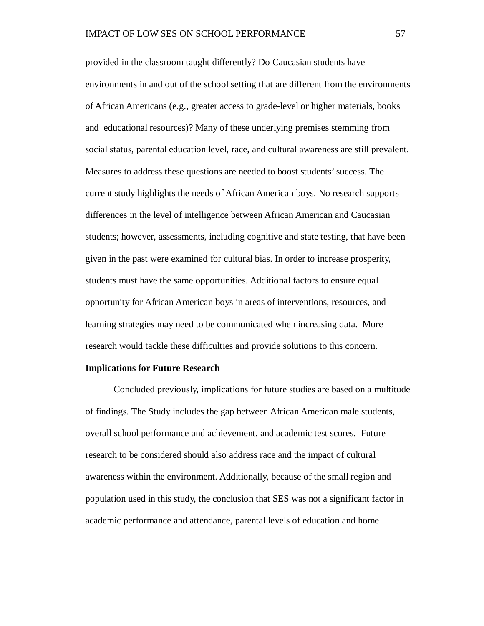provided in the classroom taught differently? Do Caucasian students have environments in and out of the school setting that are different from the environments of African Americans (e.g., greater access to grade-level or higher materials, books and educational resources)? Many of these underlying premises stemming from social status, parental education level, race, and cultural awareness are still prevalent. Measures to address these questions are needed to boost students'success. The current study highlights the needs of African American boys. No research supports differences in the level of intelligence between African American and Caucasian students; however, assessments, including cognitive and state testing, that have been given in the past were examined for cultural bias. In order to increase prosperity, students must have the same opportunities. Additional factors to ensure equal opportunity for African American boys in areas of interventions, resources, and learning strategies may need to be communicated when increasing data. More research would tackle these difficulties and provide solutions to this concern.

#### **Implications for Future Research**

Concluded previously, implications for future studies are based on a multitude of findings. The Study includes the gap between African American male students, overall school performance and achievement, and academic test scores. Future research to be considered should also address race and the impact of cultural awareness within the environment. Additionally, because of the small region and population used in this study, the conclusion that SES was not a significant factor in academic performance and attendance, parental levels of education and home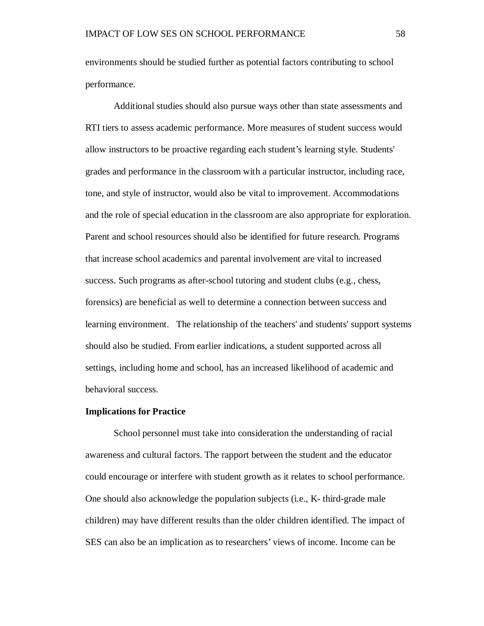environments should be studied further as potential factors contributing to school performance.

Additional studies should also pursue ways other than state assessments and RTI tiers to assess academic performance. More measures of student success would allow instructors to be proactive regarding each student's learning style. Students' grades and performance in the classroom with a particular instructor, including race, tone, and style of instructor, would also be vital to improvement. Accommodations and the role of special education in the classroom are also appropriate for exploration. Parent and school resources should also be identified for future research. Programs that increase school academics and parental involvement are vital to increased success. Such programs as after-school tutoring and student clubs (e.g., chess, forensics) are beneficial as well to determine a connection between success and learning environment. The relationship of the teachers' and students' support systems should also be studied. From earlier indications, a student supported across all settings, including home and school, has an increased likelihood of academic and behavioral success.

#### **Implications for Practice**

School personnel must take into consideration the understanding of racial awareness and cultural factors. The rapport between the student and the educator could encourage or interfere with student growth as it relates to school performance. One should also acknowledge the population subjects (i.e., K- third-grade male children) may have different results than the older children identified. The impact of SES can also be an implication as to researchers' views of income. Income can be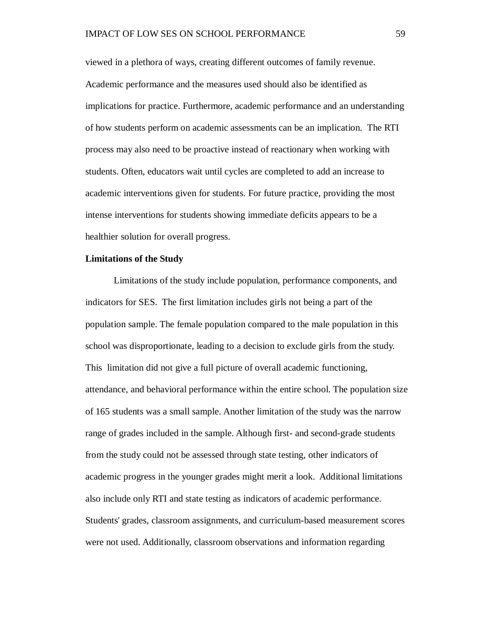viewed in a plethora of ways, creating different outcomes of family revenue. Academic performance and the measures used should also be identified as implications for practice. Furthermore, academic performance and an understanding of how students perform on academic assessments can be an implication. The RTI process may also need to be proactive instead of reactionary when working with students. Often, educators wait until cycles are completed to add an increase to academic interventions given for students. For future practice, providing the most intense interventions for students showing immediate deficits appears to be a healthier solution for overall progress.

#### **Limitations of the Study**

Limitations of the study include population, performance components, and indicators for SES. The first limitation includes girls not being a part of the population sample. The female population compared to the male population in this school was disproportionate, leading to a decision to exclude girls from the study. This limitation did not give a full picture of overall academic functioning, attendance, and behavioral performance within the entire school. The population size of 165 students was a small sample. Another limitation of the study was the narrow range of grades included in the sample. Although first- and second-grade students from the study could not be assessed through state testing, other indicators of academic progress in the younger grades might merit a look. Additional limitations also include only RTI and state testing as indicators of academic performance. Students' grades, classroom assignments, and curriculum-based measurement scores were not used. Additionally, classroom observations and information regarding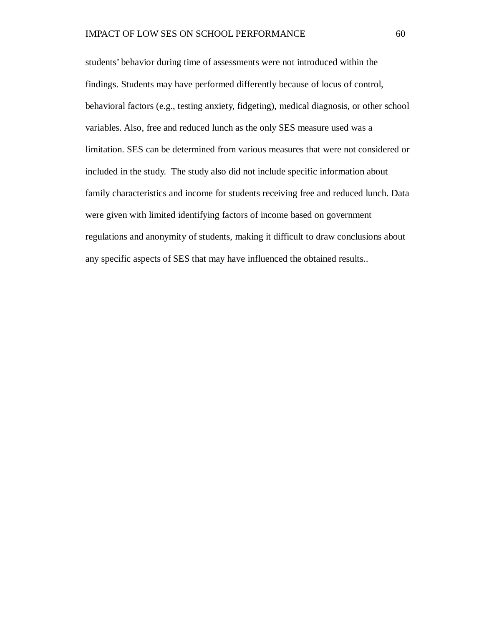students' behavior during time of assessments were not introduced within the findings. Students may have performed differently because of locus of control, behavioral factors (e.g., testing anxiety, fidgeting), medical diagnosis, or other school variables. Also, free and reduced lunch as the only SES measure used was a limitation. SES can be determined from various measures that were not considered or included in the study. The study also did not include specific information about family characteristics and income for students receiving free and reduced lunch. Data were given with limited identifying factors of income based on government regulations and anonymity of students, making it difficult to draw conclusions about any specific aspects of SES that may have influenced the obtained results..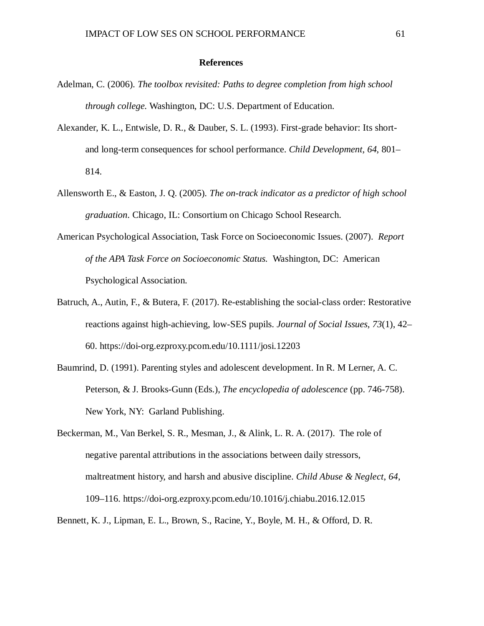#### **References**

- Adelman, C. (2006). *The toolbox revisited: Paths to degree completion from high school through college.* Washington, DC: U.S. Department of Education.
- Alexander, K. L., Entwisle, D. R., & Dauber, S. L. (1993). First-grade behavior: Its shortand long-term consequences for school performance. *Child Development, 64*, 801– 814.
- Allensworth E., & Easton, J. Q. (2005). *The on-track indicator as a predictor of high school graduation*. Chicago, IL: Consortium on Chicago School Research.
- American Psychological Association, Task Force on Socioeconomic Issues. (2007). *Report of the APA Task Force on Socioeconomic Status.* Washington, DC: American Psychological Association.
- Batruch, A., Autin, F., & Butera, F. (2017). Re-establishing the social-class order: Restorative reactions against high-achieving, low-SES pupils. *Journal of Social Issues*, *73*(1), 42– 60. https://doi-org.ezproxy.pcom.edu/10.1111/josi.12203
- Baumrind, D. (1991). Parenting styles and adolescent development. In R. M Lerner, A. C. Peterson, & J. Brooks-Gunn (Eds.), *The encyclopedia of adolescence* (pp. 746-758). New York, NY: Garland Publishing.
- Beckerman, M., Van Berkel, S. R., Mesman, J., & Alink, L. R. A. (2017). The role of negative parental attributions in the associations between daily stressors, maltreatment history, and harsh and abusive discipline. *Child Abuse & Neglect*, *64*, 109–116. https://doi-org.ezproxy.pcom.edu/10.1016/j.chiabu.2016.12.015
- Bennett, K. J., Lipman, E. L., Brown, S., Racine, Y., Boyle, M. H., & Offord, D. R.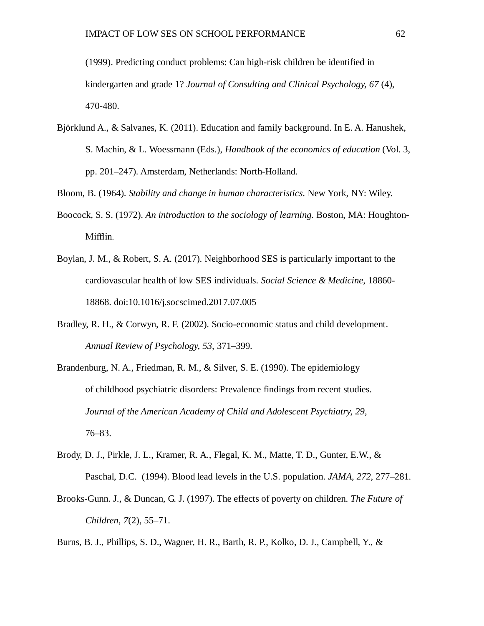(1999). Predicting conduct problems: Can high-risk children be identified in kindergarten and grade 1? *Journal of Consulting and Clinical Psychology, 67* (4), 470-480.

- Björklund A., & Salvanes, K. (2011). Education and family background. In E. A. Hanushek, S. Machin, & L. Woessmann (Eds.), *Handbook of the economics of education* (Vol. 3, pp. 201–247). Amsterdam, Netherlands: North-Holland.
- Bloom, B. (1964). *Stability and change in human characteristics*. New York, NY: Wiley.
- Boocock, S. S. (1972). *An introduction to the sociology of learning.* Boston, MA: Houghton-Mifflin.
- Boylan, J. M., & Robert, S. A. (2017). Neighborhood SES is particularly important to the cardiovascular health of low SES individuals. *Social Science & Medicine*, 18860- 18868. doi:10.1016/j.socscimed.2017.07.005
- Bradley, R. H., & Corwyn, R. F. (2002). Socio-economic status and child development. *Annual Review of Psychology, 53,* 371–399.
- Brandenburg, N. A., Friedman, R. M., & Silver, S. E. (1990). The epidemiology of childhood psychiatric disorders: Prevalence findings from recent studies. *Journal of the American Academy of Child and Adolescent Psychiatry, 29,* 76–83.
- Brody, D. J., Pirkle, J. L., Kramer, R. A., Flegal, K. M., Matte, T. D., Gunter, E.W., & Paschal, D.C. (1994). Blood lead levels in the U.S. population. *JAMA, 272,* 277–281.
- Brooks-Gunn. J., & Duncan, G. J. (1997). The effects of poverty on children. *The Future of Children*, *7*(2), 55–71.
- Burns, B. J., Phillips, S. D., Wagner, H. R., Barth, R. P., Kolko, D. J., Campbell, Y., &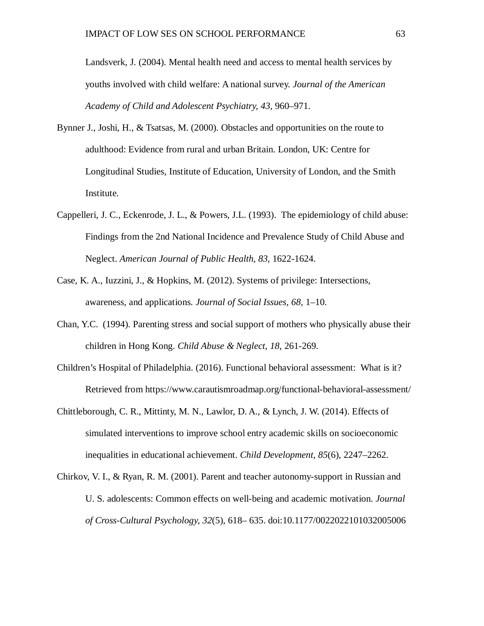Landsverk, J. (2004). Mental health need and access to mental health services by youths involved with child welfare: A national survey. *Journal of the American Academy of Child and Adolescent Psychiatry, 43,* 960–971.

- Bynner J., Joshi, H., & Tsatsas, M. (2000). Obstacles and opportunities on the route to adulthood: Evidence from rural and urban Britain. London, UK: Centre for Longitudinal Studies, Institute of Education, University of London, and the Smith Institute.
- Cappelleri, J. C., Eckenrode, J. L., & Powers, J.L. (1993). The epidemiology of child abuse: Findings from the 2nd National Incidence and Prevalence Study of Child Abuse and Neglect. *American Journal of Public Health, 83,* 1622-1624.
- Case, K. A., Iuzzini, J., & Hopkins, M. (2012). Systems of privilege: Intersections, awareness, and applications*. Journal of Social Issues, 68,* 1–10.
- Chan, Y.C. (1994). Parenting stress and social support of mothers who physically abuse their children in Hong Kong. *Child Abuse & Neglect*, *18*, 261-269.
- Children's Hospital of Philadelphia. (2016). Functional behavioral assessment: What is it? Retrieved from https://www.carautismroadmap.org/functional-behavioral-assessment/
- Chittleborough, C. R., Mittinty, M. N., Lawlor, D. A., & Lynch, J. W. (2014). Effects of simulated interventions to improve school entry academic skills on socioeconomic inequalities in educational achievement. *Child Development*, *85*(6), 2247–2262.
- Chirkov, V. I., & Ryan, R. M. (2001). Parent and teacher autonomy-support in Russian and U. S. adolescents: Common effects on well-being and academic motivation. *Journal of Cross-Cultural Psychology, 32*(5), 618– 635. doi:10.1177/0022022101032005006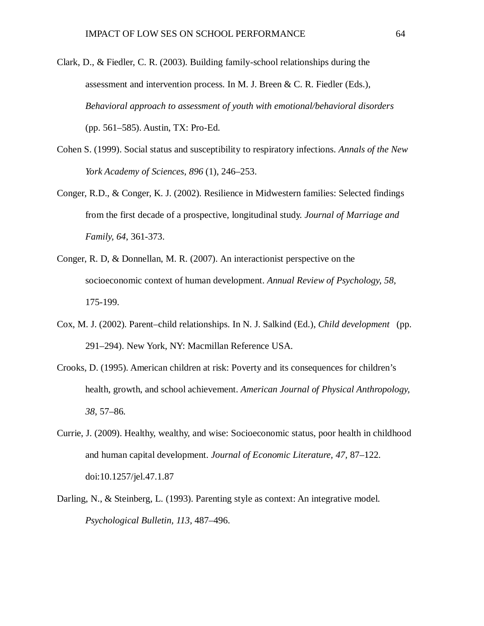- Clark, D., & Fiedler, C. R. (2003). Building family-school relationships during the assessment and intervention process. In M. J. Breen & C. R. Fiedler (Eds.), *Behavioral approach to assessment of youth with emotional/behavioral disorders* (pp. 561–585). Austin, TX: Pro-Ed.
- Cohen S. (1999). Social status and susceptibility to respiratory infections. *Annals of the New York Academy of Sciences*, *896* (1), 246–253.
- Conger, R.D., & Conger, K. J. (2002). Resilience in Midwestern families: Selected findings from the first decade of a prospective, longitudinal study. *Journal of Marriage and Family, 64*, 361-373.
- Conger, R. D, & Donnellan, M. R. (2007). An interactionist perspective on the socioeconomic context of human development. *Annual Review of Psychology, 58,* 175-199.
- Cox, M. J. (2002). Parent–child relationships. In N. J. Salkind (Ed.), *Child development* (pp. 291–294). New York, NY: Macmillan Reference USA.
- Crooks, D. (1995). American children at risk: Poverty and its consequences for children's health, growth, and school achievement. *American Journal of Physical Anthropology, 38*, 57–86.
- Currie, J. (2009). Healthy, wealthy, and wise: Socioeconomic status, poor health in childhood and human capital development. *Journal of Economic Literature, 47,* 87–122. doi:10.1257/jel.47.1.87
- Darling, N., & Steinberg, L. (1993). Parenting style as context: An integrative model. *Psychological Bulletin, 113,* 487–496.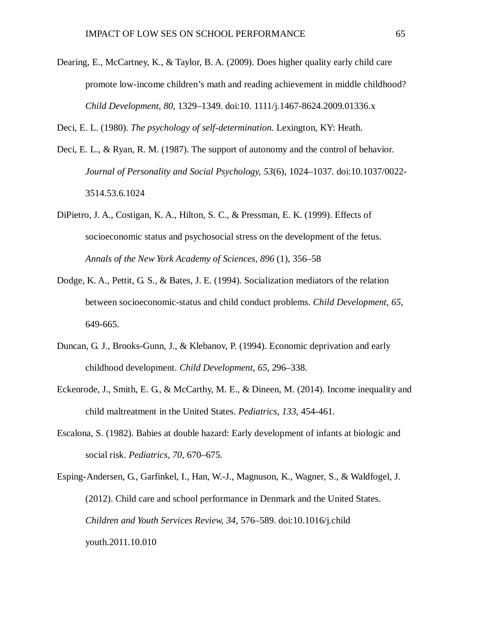Dearing, E., McCartney, K., & Taylor, B. A. (2009). Does higher quality early child care promote low-income children's math and reading achievement in middle childhood? *Child Development, 80,* 1329–1349. doi:10. 1111/j.1467-8624.2009.01336.x

Deci, E. L. (1980). *The psychology of self-determination.* Lexington, KY: Heath.

- Deci, E. L., & Ryan, R. M. (1987). The support of autonomy and the control of behavior. *Journal of Personality and Social Psychology, 53*(6), 1024–1037. doi:10.1037/0022- 3514.53.6.1024
- DiPietro, J. A., Costigan, K. A., Hilton, S. C., & Pressman, E. K. (1999). Effects of socioeconomic status and psychosocial stress on the development of the fetus. *Annals of the New York Academy of Sciences, 896* (1), 356–58
- Dodge, K. A., Pettit, G. S., & Bates, J. E. (1994). Socialization mediators of the relation between socioeconomic-status and child conduct problems. *Child Development, 65,* 649-665.
- Duncan, G. J., Brooks-Gunn, J., & Klebanov, P. (1994). Economic deprivation and early childhood development. *Child Development, 65,* 296–338.
- Eckenrode, J., Smith, E. G., & McCarthy, M. E., & Dineen, M. (2014). Income inequality and child maltreatment in the United States. *Pediatrics, 133,* 454-461.
- Escalona, S. (1982). Babies at double hazard: Early development of infants at biologic and social risk. *Pediatrics, 70,* 670–675.

Esping-Andersen, G., Garfinkel, I., Han, W.-J., Magnuson, K., Wagner, S., & Waldfogel, J. (2012). Child care and school performance in Denmark and the United States. *Children and Youth Services Review, 34,* 576–589. doi:10.1016/j.child youth.2011.10.010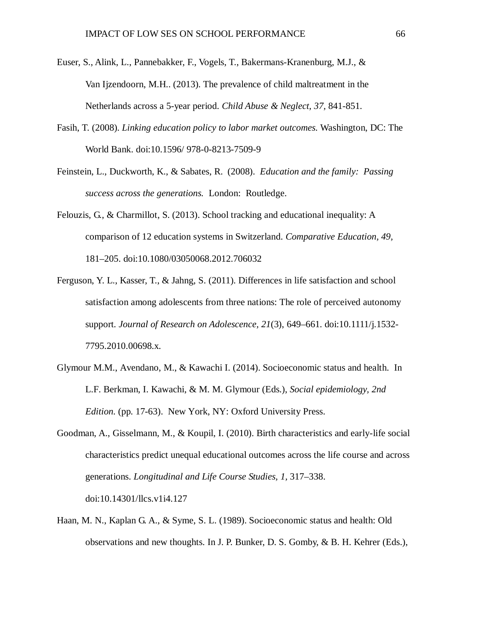- Euser, S., Alink, L., Pannebakker, F., Vogels, T., Bakermans-Kranenburg, M.J., & Van Ijzendoorn, M.H.. (2013). The prevalence of child maltreatment in the Netherlands across a 5-year period. *Child Abuse & Neglect, 37,* 841-851.
- Fasih, T. (2008). *Linking education policy to labor market outcomes.* Washington, DC: The World Bank. doi:10.1596/ 978-0-8213-7509-9
- Feinstein, L., Duckworth, K., & Sabates, R. (2008). *Education and the family: Passing success across the generations.* London: Routledge.
- Felouzis, G., & Charmillot, S. (2013). School tracking and educational inequality: A comparison of 12 education systems in Switzerland. *Comparative Education, 49,* 181–205. doi:10.1080/03050068.2012.706032
- Ferguson, Y. L., Kasser, T., & Jahng, S. (2011). Differences in life satisfaction and school satisfaction among adolescents from three nations: The role of perceived autonomy support. *Journal of Research on Adolescence, 21*(3), 649–661. doi:10.1111/j.1532- 7795.2010.00698.x.
- Glymour M.M., Avendano, M., & Kawachi I. (2014). Socioeconomic status and health. In L.F. Berkman, I. Kawachi, & M. M. Glymour (Eds.), *Social epidemiology, 2nd Edition.* (pp. 17-63). New York, NY: Oxford University Press.
- Goodman, A., Gisselmann, M., & Koupil, I. (2010). Birth characteristics and early-life social characteristics predict unequal educational outcomes across the life course and across generations. *Longitudinal and Life Course Studies, 1,* 317–338. doi:10.14301/llcs.v1i4.127
- Haan, M. N., Kaplan G. A., & Syme, S. L. (1989). Socioeconomic status and health: Old observations and new thoughts. In J. P. Bunker, D. S. Gomby, & B. H. Kehrer (Eds.),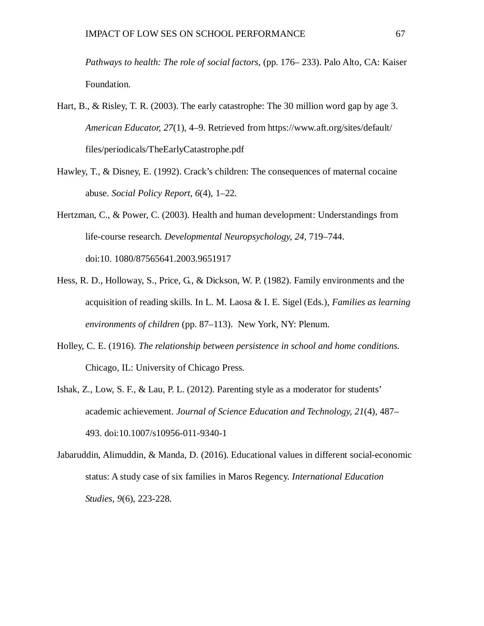*Pathways to health: The role of social factors*, (pp. 176– 233). Palo Alto, CA: Kaiser Foundation.

- Hart, B., & Risley, T. R. (2003). The early catastrophe: The 30 million word gap by age 3. *American Educator, 27*(1), 4–9. Retrieved from https://www.aft.org/sites/default/ files/periodicals/TheEarlyCatastrophe.pdf
- Hawley, T., & Disney, E. (1992). Crack's children: The consequences of maternal cocaine abuse. *Social Policy Report, 6*(4), 1–22.
- Hertzman, C., & Power, C. (2003). Health and human development: Understandings from life-course research. *Developmental Neuropsychology, 24,* 719–744. doi:10. 1080/87565641.2003.9651917
- Hess, R. D., Holloway, S., Price, G., & Dickson, W. P. (1982). Family environments and the acquisition of reading skills. In L. M. Laosa & I. E. Sigel (Eds.), *Families as learning environments of children* (pp. 87–113). New York, NY: Plenum.
- Holley, C. E. (1916). *The relationship between persistence in school and home conditions.* Chicago, IL: University of Chicago Press.
- Ishak, Z., Low, S. F., & Lau, P. L. (2012). Parenting style as a moderator for students' academic achievement. *Journal of Science Education and Technology, 21*(4), 487– 493. doi:10.1007/s10956-011-9340-1
- Jabaruddin, Alimuddin, & Manda, D. (2016). Educational values in different social-economic status: A study case of six families in Maros Regency. *International Education Studies*, *9*(6), 223-228.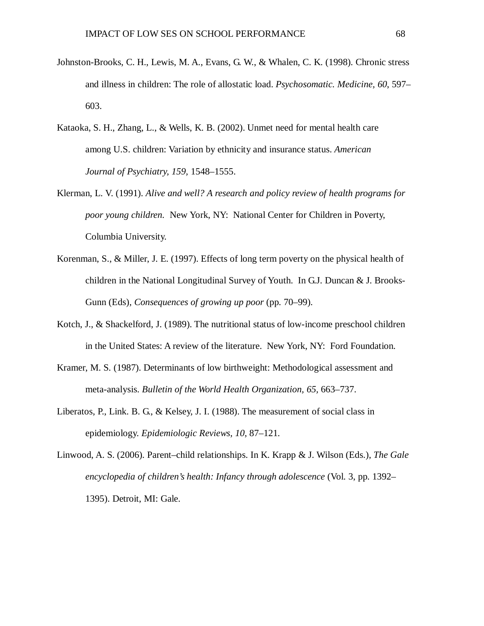- Johnston-Brooks, C. H., Lewis, M. A., Evans, G. W., & Whalen, C. K. (1998). Chronic stress and illness in children: The role of allostatic load. *Psychosomatic. Medicine, 60*, 597– 603.
- Kataoka, S. H., Zhang, L., & Wells, K. B. (2002). Unmet need for mental health care among U.S. children: Variation by ethnicity and insurance status. *American Journal of Psychiatry, 159,* 1548–1555.
- Klerman, L. V. (1991). *Alive and well? A research and policy review of health programs for poor young children.* New York, NY: National Center for Children in Poverty, Columbia University.
- Korenman, S., & Miller, J. E. (1997). Effects of long term poverty on the physical health of children in the National Longitudinal Survey of Youth. In G.J. Duncan & J. Brooks-Gunn (Eds)*, Consequences of growing up poor* (pp. 70–99).
- Kotch, J., & Shackelford, J. (1989). The nutritional status of low-income preschool children in the United States: A review of the literature. New York, NY: Ford Foundation.
- Kramer, M. S. (1987). Determinants of low birthweight: Methodological assessment and meta-analysis. *Bulletin of the World Health Organization, 65,* 663–737.
- Liberatos, P., Link. B. G., & Kelsey, J. I. (1988). The measurement of social class in epidemiology. *Epidemiologic Reviews, 10*, 87–121.

Linwood, A. S. (2006). Parent–child relationships. In K. Krapp & J. Wilson (Eds.), *The Gale encyclopedia of children's health: Infancy through adolescence* (Vol. 3, pp. 1392– 1395). Detroit, MI: Gale.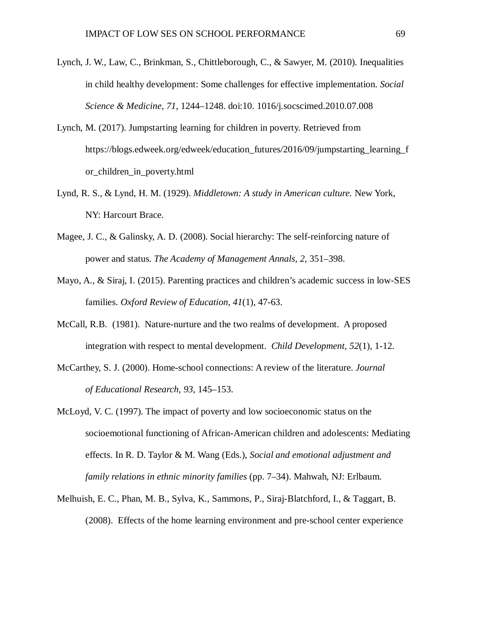- Lynch, J. W., Law, C., Brinkman, S., Chittleborough, C., & Sawyer, M. (2010). Inequalities in child healthy development: Some challenges for effective implementation. *Social Science & Medicine, 71,* 1244–1248. doi:10. 1016/j.socscimed.2010.07.008
- Lynch, M. (2017). Jumpstarting learning for children in poverty. Retrieved from https://blogs.edweek.org/edweek/education\_futures/2016/09/jumpstarting\_learning\_f or\_children\_in\_poverty.html
- Lynd, R. S., & Lynd, H. M. (1929). *Middletown: A study in American culture.* New York, NY: Harcourt Brace.
- Magee, J. C., & Galinsky, A. D. (2008). Social hierarchy: The self-reinforcing nature of power and status. *The Academy of Management Annals, 2,* 351–398.
- Mayo, A., & Siraj, I. (2015). Parenting practices and children's academic success in low-SES families. *Oxford Review of Education*, *41*(1), 47-63.
- McCall, R.B. (1981). Nature-nurture and the two realms of development. A proposed integration with respect to mental development. *Child Development, 52*(1), 1-12.
- McCarthey, S. J. (2000). Home-school connections: A review of the literature. *Journal of Educational Research, 93,* 145–153.
- McLoyd, V. C. (1997). The impact of poverty and low socioeconomic status on the socioemotional functioning of African-American children and adolescents: Mediating effects. In R. D. Taylor & M. Wang (Eds.), *Social and emotional adjustment and family relations in ethnic minority families* (pp. 7–34). Mahwah, NJ: Erlbaum.
- Melhuish, E. C., Phan, M. B., Sylva, K., Sammons, P., Siraj-Blatchford, I., & Taggart, B. (2008). Effects of the home learning environment and pre-school center experience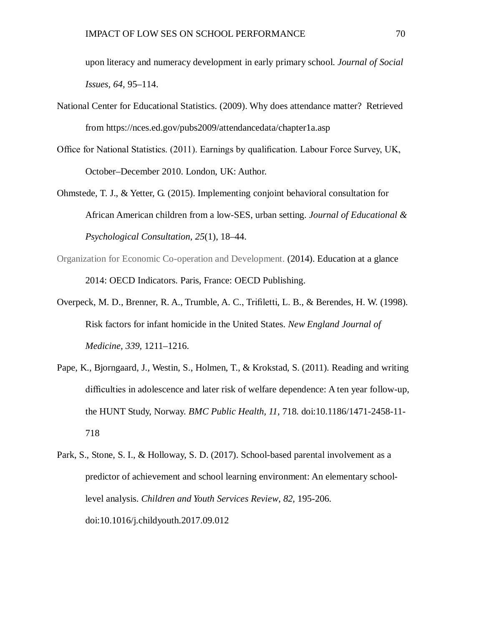upon literacy and numeracy development in early primary school. *Journal of Social Issues, 64,* 95–114.

- National Center for Educational Statistics. (2009). Why does attendance matter? Retrieved from https://nces.ed.gov/pubs2009/attendancedata/chapter1a.asp
- Office for National Statistics. (2011). Earnings by qualification. Labour Force Survey, UK, October–December 2010. London, UK: Author.
- Ohmstede, T. J., & Yetter, G. (2015). Implementing conjoint behavioral consultation for African American children from a low-SES, urban setting. *Journal of Educational & Psychological Consultation*, *25*(1), 18–44.
- Organization for Economic Co-operation and Development. (2014). Education at a glance 2014: OECD Indicators. Paris, France: OECD Publishing.
- Overpeck, M. D., Brenner, R. A., Trumble, A. C., Trifiletti, L. B., & Berendes, H. W. (1998). Risk factors for infant homicide in the United States. *New England Journal of Medicine, 339,* 1211–1216.
- Pape, K., Bjorngaard, J., Westin, S., Holmen, T., & Krokstad, S. (2011). Reading and writing difficulties in adolescence and later risk of welfare dependence: A ten year follow-up, the HUNT Study, Norway. *BMC Public Health, 11,* 718. doi:10.1186/1471-2458-11- 718
- Park, S., Stone, S. I., & Holloway, S. D. (2017). School-based parental involvement as a predictor of achievement and school learning environment: An elementary schoollevel analysis. *Children and Youth Services Review*, *82,* 195-206. doi:10.1016/j.childyouth.2017.09.012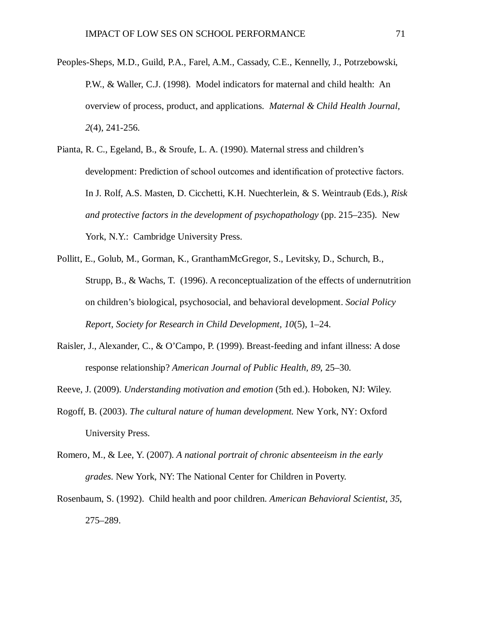- Peoples-Sheps, M.D., Guild, P.A., Farel, A.M., Cassady, C.E., Kennelly, J., Potrzebowski, P.W., & Waller, C.J. (1998). Model indicators for maternal and child health: An overview of process, product, and applications. *Maternal & Child Health Journal, 2*(4), 241-256.
- Pianta, R. C., Egeland, B., & Sroufe, L. A. (1990). Maternal stress and children's development: Prediction of school outcomes and identification of protective factors. In J. Rolf, A.S. Masten, D. Cicchetti, K.H. Nuechterlein, & S. Weintraub (Eds.), *Risk and protective factors in the development of psychopathology* (pp. 215–235). New York, N.Y.: Cambridge University Press.
- Pollitt, E., Golub, M., Gorman, K., GranthamMcGregor, S., Levitsky, D., Schurch, B., Strupp, B., & Wachs, T. (1996). A reconceptualization of the effects of undernutrition on children's biological, psychosocial, and behavioral development. *Social Policy Report, Society for Research in Child Development, 10*(5), 1–24.
- Raisler, J., Alexander, C., & O'Campo, P. (1999). Breast-feeding and infant illness: A dose response relationship? *American Journal of Public Health, 89*, 25–30.
- Reeve, J. (2009). *Understanding motivation and emotion* (5th ed.). Hoboken, NJ: Wiley.
- Rogoff, B. (2003). *The cultural nature of human development.* New York, NY: Oxford University Press.
- Romero, M., & Lee, Y. (2007)*. A national portrait of chronic absenteeism in the early grades*. New York, NY: The National Center for Children in Poverty.
- Rosenbaum, S. (1992). Child health and poor children. *American Behavioral Scientist, 35*, 275–289.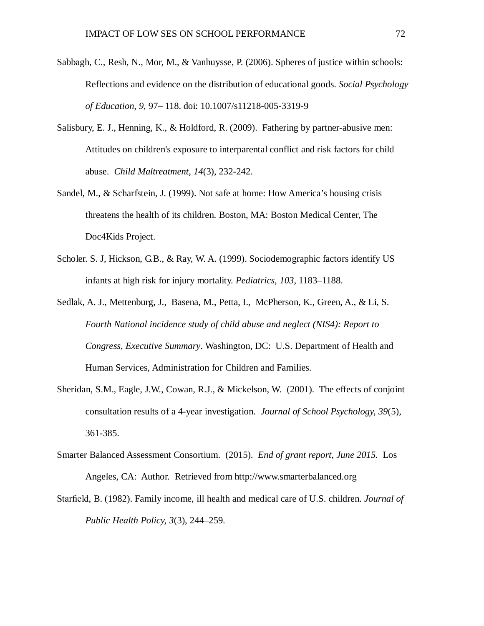- Sabbagh, C., Resh, N., Mor, M., & Vanhuysse, P. (2006). Spheres of justice within schools: Reflections and evidence on the distribution of educational goods. *Social Psychology of Education, 9,* 97– 118. doi: 10.1007/s11218-005-3319-9
- Salisbury, E. J., Henning, K., & Holdford, R. (2009). Fathering by partner-abusive men: Attitudes on children's exposure to interparental conflict and risk factors for child abuse. *Child Maltreatment, 14*(3), 232-242.
- Sandel, M., & Scharfstein, J. (1999). Not safe at home: How America's housing crisis threatens the health of its children. Boston, MA: Boston Medical Center, The Doc4Kids Project.
- Scholer. S. J, Hickson, G.B., & Ray, W. A. (1999). Sociodemographic factors identify US infants at high risk for injury mortality. *Pediatrics, 103*, 1183–1188.
- Sedlak, A. J., Mettenburg, J., Basena, M., Petta, I., McPherson, K., Green, A., & Li, S. *Fourth National incidence study of child abuse and neglect (NIS4): Report to Congress, Executive Summary*. Washington, DC: U.S. Department of Health and Human Services, Administration for Children and Families.
- Sheridan, S.M., Eagle, J.W., Cowan, R.J., & Mickelson, W. (2001). The effects of conjoint consultation results of a 4-year investigation. *Journal of School Psychology, 39*(5), 361-385.
- Smarter Balanced Assessment Consortium. (2015). *End of grant report, June 2015.* Los Angeles, CA: Author. Retrieved from http://www.smarterbalanced.org
- Starfield, B. (1982). Family income, ill health and medical care of U.S. children. *Journal of Public Health Policy, 3*(3), 244–259.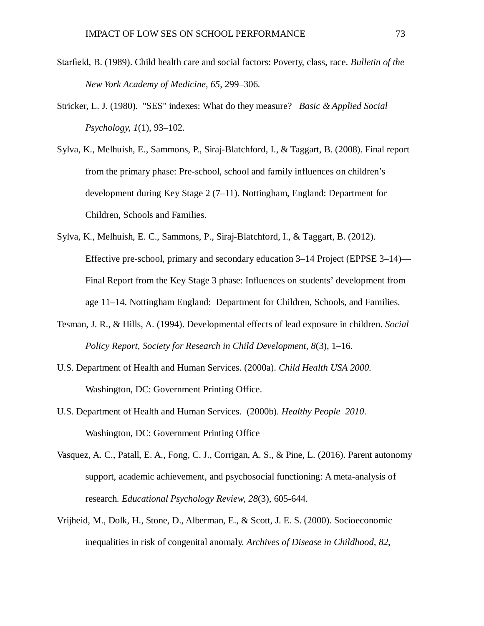- Starfield, B. (1989). Child health care and social factors: Poverty, class, race. *Bulletin of the New York Academy of Medicine, 65*, 299–306.
- Stricker, L. J. (1980). "SES" indexes: What do they measure? *Basic & Applied Social Psychology, 1*(1), 93–102.
- Sylva, K., Melhuish, E., Sammons, P., Siraj-Blatchford, I., & Taggart, B. (2008). Final report from the primary phase: Pre-school, school and family influences on children's development during Key Stage 2 (7–11). Nottingham, England: Department for Children, Schools and Families.
- Sylva, K., Melhuish, E. C., Sammons, P., Siraj-Blatchford, I., & Taggart, B. (2012). Effective pre-school, primary and secondary education 3–14 Project (EPPSE 3–14)— Final Report from the Key Stage 3 phase: Influences on students' development from age 11–14. Nottingham England: Department for Children, Schools, and Families.
- Tesman, J. R., & Hills, A. (1994). Developmental effects of lead exposure in children. *Social Policy Report, Society for Research in Child Development, 8*(3), 1–16.
- U.S. Department of Health and Human Services. (2000a). *Child Health USA 2000.* Washington, DC: Government Printing Office.
- U.S. Department of Health and Human Services. (2000b). *Healthy People 2010*. Washington, DC: Government Printing Office
- Vasquez, A. C., Patall, E. A., Fong, C. J., Corrigan, A. S., & Pine, L. (2016). Parent autonomy support, academic achievement, and psychosocial functioning: A meta-analysis of research. *Educational Psychology Review*, *28*(3), 605-644.
- Vrijheid, M., Dolk, H., Stone, D., Alberman, E., & Scott, J. E. S. (2000). Socioeconomic inequalities in risk of congenital anomaly. *Archives of Disease in Childhood, 82*,